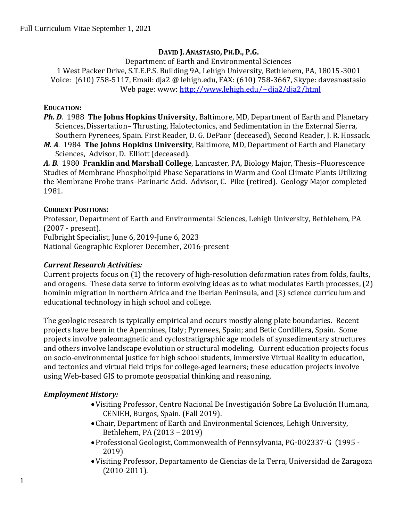#### **DAVID J. ANASTASIO, PH.D., P.G.**

Department of Earth and Environmental Sciences 1 West Packer Drive, S.T.E.P.S. Building 9A, Lehigh University, Bethlehem, PA, 18015-3001 Voice: (610) 758-5117, Email: dja2 @ lehigh.edu, FAX: (610) 758-3667, Skype: daveanastasio Web page: www:<http://www.lehigh.edu/~dja2/dja2/html>

#### **EDUCATION:**

*Ph. D.* 1988 **The Johns Hopkins University**, Baltimore, MD, Department of Earth and Planetary Sciences,Dissertation– Thrusting, Halotectonics, and Sedimentation in the External Sierra, Southern Pyrenees, Spain. First Reader, D. G. DePaor (deceased), Second Reader, J. R. Hossack.

*M. A.* 1984 **The Johns Hopkins University**, Baltimore, MD, Department of Earth and Planetary Sciences, Advisor, D. Elliott (deceased).

*A. B*. 1980 **Franklin and Marshall College**, Lancaster, PA, Biology Major, Thesis–Fluorescence Studies of Membrane Phospholipid Phase Separations in Warm and Cool Climate Plants Utilizing the Membrane Probe trans–Parinaric Acid. Advisor, C. Pike (retired). Geology Major completed 1981.

#### **CURRENT POSITIONS:**

Professor, Department of Earth and Environmental Sciences, Lehigh University, Bethlehem, PA (2007 - present). Fulbright Specialist, June 6, 2019-June 6, 2023 National Geographic Explorer December, 2016-present

#### *Current Research Activities:*

Current projects focus on (1) the recovery of high-resolution deformation rates from folds, faults, and orogens. These data serve to inform evolving ideas as to what modulates Earth processes, (2) hominin migration in northern Africa and the Iberian Peninsula, and (3) science curriculum and educational technology in high school and college.

The geologic research is typically empirical and occurs mostly along plate boundaries. Recent projects have been in the Apennines, Italy; Pyrenees, Spain; and Betic Cordillera, Spain. Some projects involve paleomagnetic and cyclostratigraphic age models of synsedimentary structures and others involve landscape evolution or structural modeling. Current education projects focus on socio-environmental justice for high school students, immersive Virtual Reality in education, and tectonics and virtual field trips for college-aged learners; these education projects involve using Web-based GIS to promote geospatial thinking and reasoning.

#### *Employment History:*

- •Visiting Professor, Centro Nacional De Investigación Sobre La Evolución Humana, CENIEH, Burgos, Spain. (Fall 2019).
- Chair, Department of Earth and Environmental Sciences, Lehigh University, Bethlehem, PA (2013 – 2019)
- Professional Geologist, Commonwealth of Pennsylvania, PG-002337-G (1995 2019)
- •Visiting Professor, Departamento de Ciencias de la Terra, Universidad de Zaragoza (2010-2011).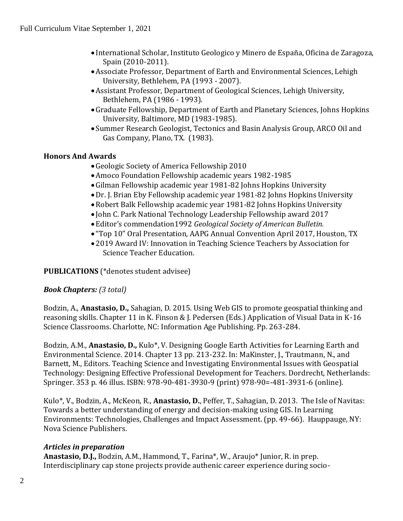- International Scholar, Instituto Geologico y Minero de España, Oficina de Zaragoza, Spain (2010-2011).
- •Associate Professor, Department of Earth and Environmental Sciences, Lehigh University, Bethlehem, PA (1993 - 2007).
- •Assistant Professor, Department of Geological Sciences, Lehigh University, Bethlehem, PA (1986 - 1993).
- •Graduate Fellowship, Department of Earth and Planetary Sciences, Johns Hopkins University, Baltimore, MD (1983-1985).
- •Summer Research Geologist, Tectonics and Basin Analysis Group, ARCO Oil and Gas Company, Plano, TX. (1983).

### **Honors And Awards**

- •Geologic Society of America Fellowship 2010
- •Amoco Foundation Fellowship academic years 1982-1985
- •Gilman Fellowship academic year 1981-82 Johns Hopkins University
- •Dr. J. Brian Eby Fellowship academic year 1981-82 Johns Hopkins University
- •Robert Balk Fellowship academic year 1981-82 Johns Hopkins University
- John C. Park National Technology Leadership Fellowship award 2017
- Editor's commendation1992 *Geological Society of American Bulletin.*
- "Top 10" Oral Presentation, AAPG Annual Convention April 2017, Houston, TX
- 2019 Award IV: Innovation in Teaching Science Teachers by Association for Science Teacher Education.

### **PUBLICATIONS** (\*denotes student advisee)

### *Book Chapters: (3 total)*

Bodzin, A., **Anastasio, D.,** Sahagian, D. 2015. Using Web GIS to promote geospatial thinking and reasoning skills. Chapter 11 in K. Finson & J. Pedersen (Eds.) Application of Visual Data in K-16 Science Classrooms. Charlotte, NC: Information Age Publishing. Pp. 263-284.

Bodzin, A.M., **Anastasio, D.,** Kulo\*, V. Designing Google Earth Activities for Learning Earth and Environmental Science. 2014. Chapter 13 pp. 213-232. In: MaKinster, J., Trautmann, N., and Barnett, M., Editors. Teaching Science and Investigating Environmental Issues with Geospatial Technology: Designing Effective Professional Development for Teachers. Dordrecht, Netherlands: Springer. 353 p. 46 illus. ISBN: 978-90-481-3930-9 (print) 978-90=-481-3931-6 (online).

Kulo\*, V., Bodzin, A., McKeon, R., **Anastasio, D.**, Peffer, T., Sahagian, D. 2013. The Isle of Navitas: Towards a better understanding of energy and decision-making using GIS. In Learning Environments: Technologies, Challenges and Impact Assessment. (pp. 49-66). Hauppauge, NY: Nova Science Publishers.

### *Articles in preparation*

**Anastasio, D.J.,** Bodzin, A.M., Hammond, T., Farina\*, W., Araujo\* Junior, R. in prep. Interdisciplinary cap stone projects provide authenic career experience during socio-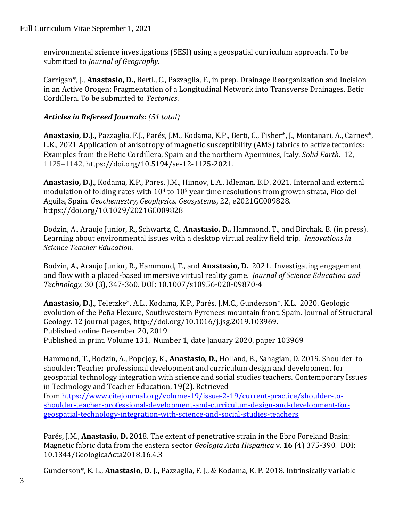environmental science investigations (SESI) using a geospatial curriculum approach. To be submitted to *Journal of Geography.*

Carrigan\*, J., **Anastasio, D.,** Berti., C., Pazzaglia, F., in prep. Drainage Reorganization and Incision in an Active Orogen: Fragmentation of a Longitudinal Network into Transverse Drainages, Betic Cordillera. To be submitted to *Tectonics*.

### *Articles in Refereed Journals: (51 total)*

**Anastasio, D.J.,** Pazzaglia, F.J., Parés, J.M., Kodama, K.P., Berti, C., Fisher\*, J., Montanari, A., Carnes\*, L.K., 2021 Application of anisotropy of magnetic susceptibility (AMS) fabrics to active tectonics: Examples from the Betic Cordillera, Spain and the northern Apennines, Italy. *Solid Earth*. 12, 1125–1142, https://doi.org/10.5194/se-12-1125-2021.

**Anastasio, D.J**., Kodama, K.P., Pares, J.M., Hinnov, L.A., Idleman, B.D. 2021. Internal and external modulation of folding rates with  $10<sup>4</sup>$  to  $10<sup>5</sup>$  year time resolutions from growth strata, Pico del Aguila, Spain. *Geochemestry, Geophysics, Geosystems*, 22, e2021GC009828. https://doi.org/10.1029/2021GC009828

Bodzin, A., Araujo Junior, R., Schwartz, C., **Anastasio, D.,** Hammond, T., and Birchak, B. (in press). Learning about environmental issues with a desktop virtual reality field trip. *Innovations in Science Teacher Education*.

Bodzin, A., Araujo Junior, R., Hammond, T., and **Anastasio, D.** 2021. Investigating engagement and flow with a placed-based immersive virtual reality game. *Journal of Science Education and Technology.* 30 (3), 347-360. DOI: 10.1007/s10956-020-09870-4

**Anastasio, D.J**., Teletzke\*, A.L., Kodama, K.P., Parés, J.M.C., Gunderson\*, K.L. 2020. Geologic evolution of the Peña Flexure, Southwestern Pyrenees mountain front, Spain. Journal of Structural Geology. 12 journal pages, http://doi.org/10.1016/j.jsg.2019.103969. Published online December 20, 2019 Published in print. Volume 131, Number 1, date January 2020, paper 103969

Hammond, T., Bodzin, A., Popejoy, K., **Anastasio, D.,** Holland, B., Sahagian, D. 2019. Shoulder-toshoulder: Teacher professional development and curriculum design and development for geospatial technology integration with science and social studies teachers. Contemporary Issues in Technology and Teacher Education, 19(2). Retrieved from [https://www.citejournal.org/volume-19/issue-2-19/current-practice/shoulder-to](https://www.citejournal.org/volume-19/issue-2-19/current-practice/shoulder-to-shoulder-teacher-professional-development-and-curriculum-design-and-development-for-geospatial-technology-integration-with-science-and-social-studies-teachers)[shoulder-teacher-professional-development-and-curriculum-design-and-development-for](https://www.citejournal.org/volume-19/issue-2-19/current-practice/shoulder-to-shoulder-teacher-professional-development-and-curriculum-design-and-development-for-geospatial-technology-integration-with-science-and-social-studies-teachers)[geospatial-technology-integration-with-science-and-social-studies-teachers](https://www.citejournal.org/volume-19/issue-2-19/current-practice/shoulder-to-shoulder-teacher-professional-development-and-curriculum-design-and-development-for-geospatial-technology-integration-with-science-and-social-studies-teachers)

Parés, J.M., **Anastasio, D.** 2018. The extent of penetrative strain in the Ebro Foreland Basin: Magnetic fabric data from the eastern sector *Geologia Acta Hispañica* v. **16** (4) 375-390*.* DOI: 10.1344/GeologicaActa2018.16.4.3

Gunderson\*, K. L., **Anastasio, D. J.,** Pazzaglia, F. J., & Kodama, K. P. 2018. Intrinsically variable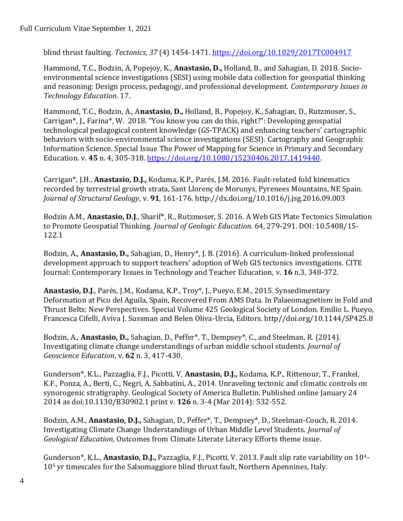blind thrust faulting. *Tectonics*, *37* (4) 1454-1471[. https://doi.org/10.1029/2017TC004917](https://doi.org/10.1029/2017TC004917)

Hammond, T.C., Bodzin, A, Popejoy, K., **Anastasio, D.,** Holland, B., and Sahagian, D. 2018. Socioenvironmental science investigations (SESI) using mobile data collection for geospatial thinking and reasoning: Design process, pedagogy, and professional development. *Contemporary Issues in Technology Education*. 17.

Hammond, T.C., Bodzin, A., A**nastasio, D.,** Holland, B., Popejoy, K., Sahagian, D., Rutzmoser, S., Carrigan\*, J., Farina\*, W. 2018. "You know you can do this, right?": Developing geospatial technological pedagogical content knowledge (GS-TPACK) and enhancing teachers' cartographic behaviors with socio-environmental science investigations (SESI). Cartography and Geographic Information Science. Special Issue The Power of Mapping for Science in Primary and Secondary Education. v. **45** n. 4, 305-318. [https://doi.org/10.1080/15230406.2017.1419440.](https://doi.org/10.1080/15230406.2017.1419440)

Carrigan\*, J.H., **Anastasio, D.J.,** Kodama, K.P., Parés, J.M. 2016. Fault-related fold kinematics recorded by terrestrial growth strata, Sant Llorenç de Morunys, Pyrenees Mountains, NE Spain. *Journal of Structural Geology*, v. **91**, 161-176. http://dx.doi.org/10.1016/j.jsg.2016.09.003

Bodzin A.M., **Anastasio, D.J**., Sharif\*, R., Rutzmoser, S. 2016. A Web GIS Plate Tectonics Simulation to Promote Geospatial Thinking. *Journal of Geologic Education.* 64, 279-291. DOI: 10.5408/15- 122.1

Bodzin, A., **Anastasio, D.,** Sahagian, D., Henry\*, J. B. (2016). A curriculum-linked professional development approach to support teachers' adoption of Web GIS tectonics investigations. CITE Journal: Contemporary Issues in Technology and Teacher Education, v. **16** n.3, 348-372.

**Anastasio, D.J**., Parés, J.M., Kodama, K.P., Troy\*, J., Pueyo, E.M., 2015. Synsedimentary Deformation at Pico del Aguila, Spain, Recovered From AMS Data. In Palaeomagnetism in Fold and Thrust Belts: New Perspectives. Special Volume 425 Geological Society of London. Emilio L. Pueyo, Francesca Cifelli, Aviva J. Sussman and Belen Oliva-Urcia, Editors. http//doi.org/10.1144/SP425.8

Bodzin, A., **Anastasio, D.,** Sahagian, D., Peffer\*, T., Dempsey\*, C., and Steelman, R. (2014). Investigating climate change understandings of urban middle school students*. Journal of Geoscience Education*, v. **62** n. 3, 417-430.

Gunderson\*, K.L., Pazzaglia, F.J., Picotti, V, **Anastasio, D.J.,** Kodama, K.P., Rittenour, T., Frankel, K.F., Ponza, A., Berti, C., Negri, A, Sabbatini, A., 2014. Unraveling tectonic and climatic controls on synorogenic stratigraphy. Geological Society of America Bulletin. Published online January 24 2014 as doi:10.1130/B30902.1 print v. **126** n. 3-4 (Mar 2014): 532-552.

Bodzin, A.M., **Anastasio, D.J.,** Sahagian, D., Peffer\*, T., Dempsey\*, D., Steelman-Couch, R. 2014. Investigating Climate Change Understandings of Urban Middle Level Students. *Journal of Geological Education*, Outcomes from Climate Literate Literacy Efforts theme issue.

Gunderson\*, K.L., **Anastasio, D.J.,** Pazzaglia, F.J., Picotti, V. 2013. Fault slip rate variability on 104- 10<sup>5</sup> yr timescales for the Salsomaggiore blind thrust fault, Northern Apennines, Italy.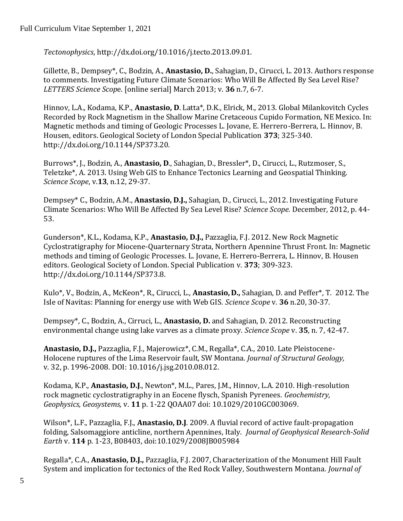*Tectonophysics*, http://dx.doi.org/10.1016/j.tecto.2013.09.01.

Gillette, B., Dempsey\*, C., Bodzin, A., **Anastasio, D.**, Sahagian, D., Cirucci, L. 2013. Authors response to comments. Investigating Future Climate Scenarios: Who Will Be Affected By Sea Level Rise? *LETTERS Science Scop*e. [online serial] March 2013; v. **36** n.7, 6-7.

Hinnov, L.A., Kodama, K.P., **Anastasio, D**. Latta\*, D.K., Elrick, M., 2013. Global Milankovitch Cycles Recorded by Rock Magnetism in the Shallow Marine Cretaceous Cupido Formation, NE Mexico. In: Magnetic methods and timing of Geologic Processes L. Jovane, E. Herrero-Berrera, L. Hinnov, B. Housen, editors. Geological Society of London Special Publication **373**; 325-340. http://dx.doi.org/10.1144/SP373.20.

Burrows\*, J., Bodzin, A., **Anastasio, D**., Sahagian, D., Bressler\*, D., Cirucci, L., Rutzmoser, S., Teletzke\*, A. 2013. Using Web GIS to Enhance Tectonics Learning and Geospatial Thinking. *Science Scope*, v.**13**, n.12, 29-37.

Dempsey\* C., Bodzin, A.M., **Anastasio, D.J.,** Sahagian, D., Cirucci, L., 2012. Investigating Future Climate Scenarios: Who Will Be Affected By Sea Level Rise? *Science Scope.* December, 2012, p. 44- 53.

Gunderson\*, K.L., Kodama, K.P., **Anastasio, D.J.,** Pazzaglia, F.J. 2012. New Rock Magnetic Cyclostratigraphy for Miocene-Quarternary Strata, Northern Apennine Thrust Front. In: Magnetic methods and timing of Geologic Processes. L. Jovane, E. Herrero-Berrera, L. Hinnov, B. Housen editors. Geological Society of London. Special Publication v. **373**; 309-323. http://dx.doi.org/10.1144/SP373.8.

Kulo\*, V., Bodzin, A., McKeon\*, R., Cirucci, L., **Anastasio, D.,** Sahagian, D. and Peffer\*, T. 2012. The Isle of Navitas: Planning for energy use with Web GIS. *Science Scope* v*.* **36** n.20, 30-37.

Dempsey\*, C., Bodzin, A., Cirruci, L., **Anastasio, D.** and Sahagian, D. 2012. Reconstructing environmental change using lake varves as a climate proxy. *Science Scope* v. **35**, n. 7, 42-47.

**Anastasio, D.J.,** Pazzaglia, F.J., Majerowicz\*, C.M., Regalla\*, C.A., 2010. Late Pleistocene-Holocene ruptures of the Lima Reservoir fault, SW Montana. *Journal of Structural Geology,* v. 32, p. 1996-2008. DOI: 10.1016/j.jsg.2010.08.012.

Kodama, K.P., **Anastasio, D.J**., Newton\*, M.L., Pares, J.M., Hinnov, L.A. 2010. High-resolution rock magnetic cyclostratigraphy in an Eocene flysch, Spanish Pyrenees. *Geochemistry, Geophysics, Geosystems,* v. **11** p. 1-22 QOAA07 doi: 10.1029/2010GC003069.

Wilson\*, L.F., Pazzaglia, F.J., **Anastasio, D.J**. 2009. A fluvial record of active fault-propagation folding, Salsomaggiore anticline, northern Apennines, Italy. *Journal of Geophysical Research-Solid Earth* v. **114** p. 1-23, B08403, doi:10.1029/2008JB005984

Regalla\*, C.A., **Anastasio, D.J.,** Pazzaglia, F.J. 2007, Characterization of the Monument Hill Fault System and implication for tectonics of the Red Rock Valley, Southwestern Montana. *Journal of*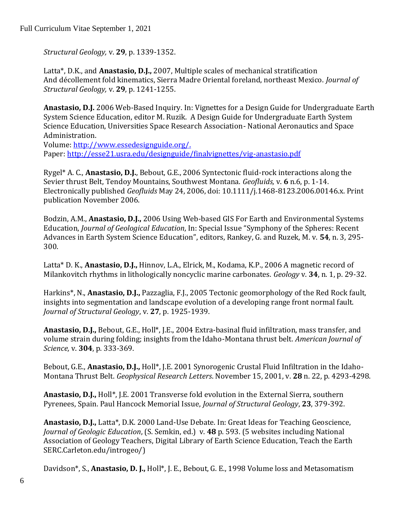*Structural Geology,* v. **29**, p. 1339-1352.

Latta\*, D.K., and **Anastasio, D.J.,** 2007, Multiple scales of mechanical stratification And décollement fold kinematics, Sierra Madre Oriental foreland, northeast Mexico. *Journal of Structural Geology,* v. **29**, p. 1241-1255.

**Anastasio, D.J.** 2006 Web-Based Inquiry. In: Vignettes for a Design Guide for Undergraduate Earth System Science Education, editor M. Ruzik. A Design Guide for Undergraduate Earth System Science Education, Universities Space Research Association- National Aeronautics and Space Administration.

Volume: http://www.essedesignguide.org/. Paper:<http://esse21.usra.edu/designguide/finalvignettes/vig-anastasio.pdf>

Rygel\* A. C., **Anastasio, D.J.**, Bebout, G.E., 2006 Syntectonic fluid-rock interactions along the Sevier thrust Belt, Tendoy Mountains, Southwest Montana. *Geofluids,* v. **6** n.6, p. 1-14. Electronically published *Geofluids* May 24, 2006, doi: 10.1111/j.1468-8123.2006.00146.x. Print publication November 2006.

Bodzin, A.M., **Anastasio, D.J.,** 2006 Using Web-based GIS For Earth and Environmental Systems Education, *Journal of Geological Education*, In: Special Issue "Symphony of the Spheres: Recent Advances in Earth System Science Education", editors, Rankey, G. and Ruzek, M. v. **54**, n. 3, 295- 300.

Latta\* D. K., **Anastasio, D.J.,** Hinnov, L.A., Elrick, M., Kodama, K.P., 2006 A magnetic record of Milankovitch rhythms in lithologically noncyclic marine carbonates. *Geology* v. **34**, n. 1, p. 29-32.

Harkins\*, N., **Anastasio, D.J.,** Pazzaglia, F.J., 2005 Tectonic geomorphology of the Red Rock fault, insights into segmentation and landscape evolution of a developing range front normal fault. *Journal of Structural Geology*, v. **27**, p. 1925-1939.

**Anastasio, D.J.,** Bebout, G.E., Holl\*, J.E., 2004 Extra-basinal fluid infiltration, mass transfer, and volume strain during folding; insights from the Idaho-Montana thrust belt. *American Journal of Science,* v. **304**, p. 333-369.

Bebout, G.E., **Anastasio, D.J.,** Holl\*, J.E. 2001 Synorogenic Crustal Fluid Infiltration in the Idaho-Montana Thrust Belt. *Geophysical Research Letters*. November 15, 2001, v. **28** n. 22, p. 4293-4298.

**Anastasio, D.J.,** Holl\*, J.E. 2001 Transverse fold evolution in the External Sierra, southern Pyrenees, Spain. Paul Hancock Memorial Issue, *Journal of Structural Geology*, **23**, 379-392.

**Anastasio, D.J.,** Latta\*, D.K. 2000 Land-Use Debate. In: Great Ideas for Teaching Geoscience, *Journal of Geologic Education*, (S. Semkin, ed.) v. **48** p. 593. (5 websites including National Association of Geology Teachers, Digital Library of Earth Science Education, Teach the Earth SERC.Carleton.edu/introgeo/)

Davidson\*, S., **Anastasio, D. J.,** Holl\*, J. E., Bebout, G. E., 1998 Volume loss and Metasomatism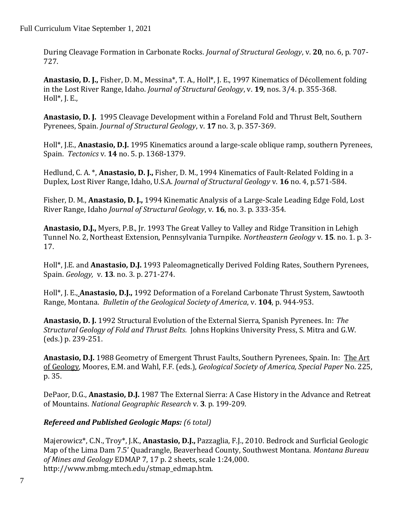During Cleavage Formation in Carbonate Rocks. *Journal of Structural Geology*, v. **20**, no. 6, p. 707- 727.

**Anastasio, D. J.,** Fisher, D. M., Messina\*, T. A., Holl\*, J. E., 1997 Kinematics of Décollement folding in the Lost River Range, Idaho. *Journal of Structural Geology*, v. **19**, nos. 3/4. p. 355-368. Holl $^*$ , J. E.,

**Anastasio, D. J.** 1995 Cleavage Development within a Foreland Fold and Thrust Belt, Southern Pyrenees, Spain. *Journal of Structural Geology*, v. **17** no. 3, p. 357-369.

Holl\*, J.E., **Anastasio, D.J.** 1995 Kinematics around a large-scale oblique ramp, southern Pyrenees, Spain. *Tectonics* v. **14** no. 5. p. 1368-1379.

Hedlund, C. A. \*, **Anastasio, D. J.,** Fisher, D. M., 1994 Kinematics of Fault-Related Folding in a Duplex, Lost River Range, Idaho, U.S.A. *Journal of Structural Geology* v. **16** no. 4, p.571-584.

Fisher, D. M., **Anastasio, D. J.,** 1994 Kinematic Analysis of a Large-Scale Leading Edge Fold, Lost River Range, Idaho *Journal of Structural Geology*, v. **16**, no. 3. p. 333-354.

**Anastasio, D.J.,** Myers, P.B., Jr. 1993 The Great Valley to Valley and Ridge Transition in Lehigh Tunnel No. 2, Northeast Extension, Pennsylvania Turnpike. *Northeastern Geology* v. **15**. no. 1. p. 3- 17.

Holl\*, J.E. and **Anastasio, D.J.** 1993 Paleomagnetically Derived Folding Rates, Southern Pyrenees, Spain. *Geology,* v. **13**. no. 3. p. 271-274.

Holl\*, J. E., **Anastasio, D.J.,** 1992 Deformation of a Foreland Carbonate Thrust System, Sawtooth Range, Montana. *Bulletin of the Geological Society of America*, v. **104**, p. 944-953.

**Anastasio, D. J.** 1992 Structural Evolution of the External Sierra, Spanish Pyrenees. In: *The Structural Geology of Fold and Thrust Belts.* Johns Hopkins University Press, S. Mitra and G.W. (eds.) p. 239-251.

**Anastasio, D.J.** 1988 Geometry of Emergent Thrust Faults, Southern Pyrenees, Spain. In: The Art of Geology*,* Moores, E.M. and Wahl, F.F. (eds.), *Geological Society of America, Special Paper* No. 225, p. 35.

DePaor, D.G., **Anastasio, D.J.** 1987 The External Sierra: A Case History in the Advance and Retreat of Mountains. *National Geographic Research* v. **3**. p. 199-209.

# *Refereed and Published Geologic Maps: (6 total)*

Majerowicz\*, C.N., Troy\*, J.K., **Anastasio, D.J.,** Pazzaglia, F.J., 2010. Bedrock and Surficial Geologic Map of the Lima Dam 7.5' Quadrangle, Beaverhead County, Southwest Montana. *Montana Bureau of Mines and Geology* EDMAP 7, 17 p. 2 sheets, scale 1:24,000. http://www.mbmg.mtech.edu/stmap\_edmap.htm.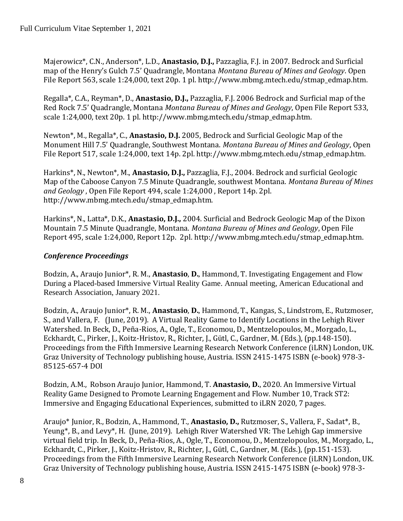Majerowicz\*, C.N., Anderson\*, L.D., **Anastasio, D.J.,** Pazzaglia, F.J. in 2007. Bedrock and Surficial map of the Henry's Gulch 7.5' Quadrangle, Montana *Montana Bureau of Mines and Geology*. Open File Report 563, scale 1:24,000, text 20p. 1 pl. http://www.mbmg.mtech.edu/stmap\_edmap.htm.

Regalla\*, C.A., Reyman\*, D., **Anastasio, D.J.,** Pazzaglia, F.J. 2006 Bedrock and Surficial map of the Red Rock 7.5' Quadrangle, Montana *Montana Bureau of Mines and Geology*, Open File Report 533, scale 1:24,000, text 20p. 1 pl. http://www.mbmg.mtech.edu/stmap\_edmap.htm.

Newton\*, M., Regalla\*, C., **Anastasio, D.J.** 2005, Bedrock and Surficial Geologic Map of the Monument Hill 7.5' Quadrangle, Southwest Montana. *Montana Bureau of Mines and Geology*, Open File Report 517, scale 1:24,000, text 14p. 2pl. http://www.mbmg.mtech.edu/stmap\_edmap.htm.

Harkins\*, N., Newton\*, M., **Anastasio, D.J.,** Pazzaglia, F.J., 2004. Bedrock and surficial Geologic Map of the Caboose Canyon 7.5 Minute Quadrangle, southwest Montana. *Montana Bureau of Mines and Geology* , Open File Report 494, scale 1:24,000 , Report 14p. 2pl. http://www.mbmg.mtech.edu/stmap\_edmap.htm.

Harkins\*, N., Latta\*, D.K., **Anastasio, D.J.,** 2004. Surficial and Bedrock Geologic Map of the Dixon Mountain 7.5 Minute Quadrangle, Montana. *Montana Bureau of Mines and Geology*, Open File Report 495, scale 1:24,000, Report 12p. 2pl*.* http://www.mbmg.mtech.edu/stmap\_edmap.htm.

### *Conference Proceedings*

Bodzin, A., Araujo Junior\*, R. M., **Anastasio**, **D.**, Hammond, T. Investigating Engagement and Flow During a Placed-based Immersive Virtual Reality Game. Annual meeting, American Educational and Research Association, January 2021.

Bodzin, A., Araujo Junior\*, R. M., **Anastasio**, **D.**, Hammond, T., Kangas, S., Lindstrom, E., Rutzmoser, S., and Vallera, F. (June, 2019). A Virtual Reality Game to Identify Locations in the Lehigh River Watershed. In Beck, D., Peña-Rios, A., Ogle, T., Economou, D., Mentzelopoulos, M., Morgado, L., Eckhardt, C., Pirker, J., Koitz-Hristov, R., Richter, J., Gütl, C., Gardner, M. (Eds.), (pp.148-150). Proceedings from the Fifth Immersive Learning Research Network Conference (iLRN) London, UK. Graz University of Technology publishing house, Austria. ISSN 2415-1475 ISBN (e-book) 978-3- 85125-657-4 DOI

Bodzin, A.M., Robson Araujo Junior, Hammond, T. **Anastasio, D.**, 2020. An Immersive Virtual Reality Game Designed to Promote Learning Engagement and Flow. Number 10, Track ST2: Immersive and Engaging Educational Experiences, submitted to iLRN 2020, 7 pages.

Araujo\* Junior, R., Bodzin, A., Hammond, T., **Anastasio, D.,** Rutzmoser, S., Vallera, F., Sadat\*, B., Yeung\*, B., and Levy\*, H. (June, 2019). Lehigh River Watershed VR: The Lehigh Gap immersive virtual field trip. In Beck, D., Peña-Rios, A., Ogle, T., Economou, D., Mentzelopoulos, M., Morgado, L., Eckhardt, C., Pirker, J., Koitz-Hristov, R., Richter, J., Gütl, C., Gardner, M. (Eds.), (pp.151-153). Proceedings from the Fifth Immersive Learning Research Network Conference (iLRN) London, UK. Graz University of Technology publishing house, Austria. ISSN 2415-1475 ISBN (e-book) 978-3-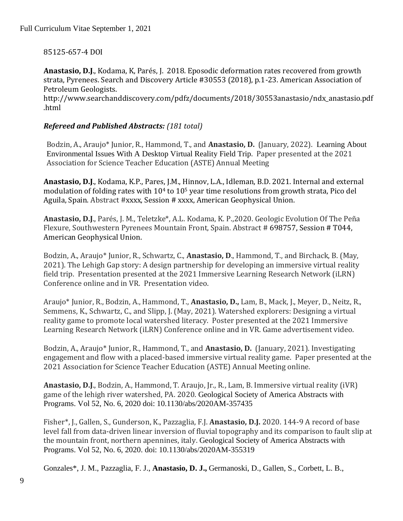### 85125-657-4 DOI

**Anastasio, D.J**., Kodama, K, Parés, J. 2018. Eposodic deformation rates recovered from growth strata, Pyrenees. Search and Discovery Article #30553 (2018), p.1-23. American Association of Petroleum Geologists.

http://www.searchanddiscovery.com/pdfz/documents/2018/30553anastasio/ndx\_anastasio.pdf .html

#### *Refereed and Published Abstracts: (181 total)*

Bodzin, A., Araujo\* Junior, R., Hammond, T., and **Anastasio, D.** (January, 2022). Learning About Environmental Issues With A Desktop Virtual Reality Field Trip. Paper presented at the 2021 Association for Science Teacher Education (ASTE) Annual Meeting

**Anastasio, D.J**., Kodama, K.P., Pares, J.M., Hinnov, L.A., Idleman, B.D. 2021. Internal and external modulation of folding rates with  $10<sup>4</sup>$  to  $10<sup>5</sup>$  year time resolutions from growth strata, Pico del Aguila, Spain. Abstract #xxxx, Session # xxxx, American Geophysical Union.

**Anastasio, D.J**., Parés, J. M., Teletzke\*, A.L. Kodama, K. P.,2020. Geologic Evolution Of The Peña Flexure, Southwestern Pyrenees Mountain Front, Spain. Abstract # 698757, Session # T044, American Geophysical Union.

Bodzin, A., Araujo\* Junior, R., Schwartz, C., **Anastasio, D**., Hammond, T., and Birchack, B. (May, 2021). The Lehigh Gap story: A design partnership for developing an immersive virtual reality field trip. Presentation presented at the 2021 Immersive Learning Research Network (iLRN) Conference online and in VR. Presentation video.

Araujo\* Junior, R., Bodzin, A., Hammond, T., **Anastasio, D.,** Lam, B., Mack, J., Meyer, D., Neitz, R., Semmens, K., Schwartz, C., and Slipp, J. (May, 2021). Watershed explorers: Designing a virtual reality game to promote local watershed literacy. Poster presented at the 2021 Immersive Learning Research Network (iLRN) Conference online and in VR. Game advertisement video.

Bodzin, A., Araujo\* Junior, R., Hammond, T., and **Anastasio, D.** (January, 2021). Investigating engagement and flow with a placed-based immersive virtual reality game. Paper presented at the 2021 Association for Science Teacher Education (ASTE) Annual Meeting online.

**Anastasio, D.J**., Bodzin, A., Hammond, T. Araujo, Jr., R., Lam, B. Immersive virtual reality (iVR) game of the lehigh river watershed, PA. 2020. Geological Society of America Abstracts with Programs. Vol 52, No. 6, 2020 doi: 10.1130/abs/2020AM-357435

Fisher\*, J., Gallen, S., Gunderson, K., Pazzaglia, F.J. **Anastasio, D.J.** 2020. 144-9 A record of base level fall from data-driven linear inversion of fluvial topography and its comparison to fault slip at the mountain front, northern apennines, italy. Geological Society of America Abstracts with Programs. Vol 52, No. 6, 2020. doi: 10.1130/abs/2020AM-355319

Gonzales\*, J. M., Pazzaglia, F. J., **Anastasio, D. J.,** Germanoski, D., Gallen, S., Corbett, L. B.,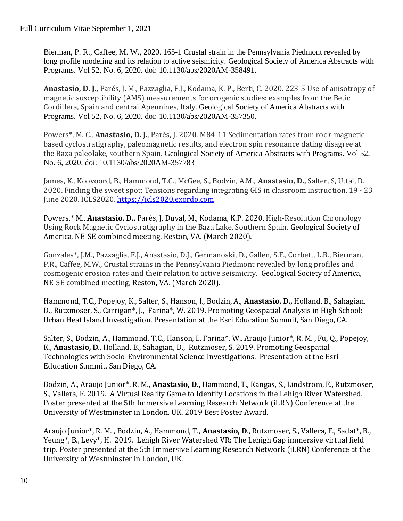Bierman, P. R., Caffee, M. W., 2020. 165-1 Crustal strain in the Pennsylvania Piedmont revealed by long profile modeling and its relation to active seismicity. Geological Society of America Abstracts with Programs. Vol 52, No. 6, 2020. doi: 10.1130/abs/2020AM-358491.

**Anastasio, D. J.,** Parés, J. M., Pazzaglia, F.J., Kodama, K. P., Berti, C. 2020. 223-5 Use of anisotropy of magnetic susceptibility (AMS) measurements for orogenic studies: examples from the Betic Cordillera, Spain and central Apennines, Italy. Geological Society of America Abstracts with Programs. Vol 52, No. 6, 2020. doi: 10.1130/abs/2020AM-357350.

Powers\*, M. C., **Anastasio, D. J.**, Parés, J. 2020. M84-11 Sedimentation rates from rock-magnetic based cyclostratigraphy, paleomagnetic results, and electron spin resonance dating disagree at the Baza paleolake, southern Spain. Geological Society of America Abstracts with Programs. Vol 52, No. 6, 2020. doi: 10.1130/abs/2020AM-357783

James, K., Koovoord, B., Hammond, T.C., McGee, S., Bodzin, A.M., **Anastasio, D.,** Salter, S, Uttal, D. 2020. Finding the sweet spot: Tensions regarding integrating GIS in classroom instruction. 19 - 23 June 2020. ICLS2020. [https://icls2020.exordo.com](https://icls2020.exordo.com/)

Powers,\* M., **Anastasio, D.,** Parés, J. Duval, M., Kodama, K.P. 2020. High-Resolution Chronology Using Rock Magnetic Cyclostratigraphy in the Baza Lake, Southern Spain. Geological Society of America, NE-SE combined meeting, Reston, VA. (March 2020).

Gonzales\*, J.M., Pazzaglia, F.J., Anastasio, D.J., Germanoski, D., Gallen, S.F., Corbett, L.B., Bierman, P.R., Caffee, M.W., Crustal strains in the Pennsylvania Piedmont revealed by long profiles and cosmogenic erosion rates and their relation to active seismicity. Geological Society of America, NE-SE combined meeting, Reston, VA. (March 2020).

Hammond, T.C., Popejoy, K., Salter, S., Hanson, I., Bodzin, A., **Anastasio, D.,** Holland, B., Sahagian, D., Rutzmoser, S., Carrigan\*, J., Farina\*, W. 2019. Promoting Geospatial Analysis in High School: Urban Heat Island Investigation. Presentation at the Esri Education Summit, San Diego, CA.

Salter, S., Bodzin, A., Hammond, T.C., Hanson, I., Farina\*, W., Araujo Junior\*, R. M. , Fu, Q., Popejoy, K., **Anastasio, D**., Holland, B., Sahagian, D., Rutzmoser, S. 2019. Promoting Geospatial Technologies with Socio-Environmental Science Investigations. Presentation at the Esri Education Summit, San Diego, CA.

Bodzin, A., Araujo Junior\*, R. M., **Anastasio, D.,** Hammond, T., Kangas, S., Lindstrom, E., Rutzmoser, S., Vallera, F. 2019. A Virtual Reality Game to Identify Locations in the Lehigh River Watershed. Poster presented at the 5th Immersive Learning Research Network (iLRN) Conference at the University of Westminster in London, UK. 2019 Best Poster Award.

Araujo Junior\*, R. M. , Bodzin, A., Hammond, T., **Anastasio, D**., Rutzmoser, S., Vallera, F., Sadat\*, B., Yeung\*, B., Levy\*, H. 2019. Lehigh River Watershed VR: The Lehigh Gap immersive virtual field trip. Poster presented at the 5th Immersive Learning Research Network (iLRN) Conference at the University of Westminster in London, UK.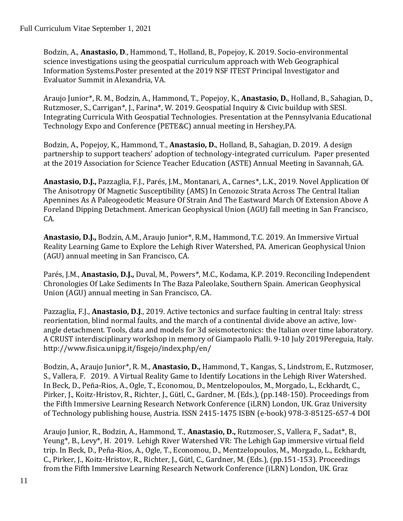Bodzin, A., **Anastasio, D**., Hammond, T., Holland, B., Popejoy, K. 2019. Socio-environmental science investigations using the geospatial curriculum approach with Web Geographical Information Systems.Poster presented at the 2019 NSF ITEST Principal Investigator and Evaluator Summit in Alexandria, VA.

Araujo Junior\*, R. M., Bodzin, A., Hammond, T., Popejoy, K., **Anastasio, D.**, Holland, B., Sahagian, D., Rutzmoser, S., Carrigan\*, J., Farina\*, W. 2019. Geospatial Inquiry & Civic buildup with SESI. Integrating Curricula With Geospatial Technologies. Presentation at the Pennsylvania Educational Technology Expo and Conference (PETE&C) annual meeting in Hershey,PA.

Bodzin, A., Popejoy, K., Hammond, T., **Anastasio, D.**, Holland, B., Sahagian, D. 2019. A design partnership to support teachers' adoption of technology-integrated curriculum. Paper presented at the 2019 Association for Science Teacher Education (ASTE) Annual Meeting in Savannah, GA.

**Anastasio, D.J.,** Pazzaglia, F.J., Parés, J.M., Montanari, A., Carnes\*, L.K., 2019. Novel Application Of The Anisotropy Of Magnetic Susceptibility (AMS) In Cenozoic Strata Across The Central Italian Apennines As A Paleogeodetic Measure Of Strain And The Eastward March Of Extension Above A Foreland Dipping Detachment. American Geophysical Union (AGU) fall meeting in San Francisco, CA.

**Anastasio, D.J.,** Bodzin, A.M., Araujo Junior\*, R.M., Hammond, T.C. 2019. An Immersive Virtual Reality Learning Game to Explore the Lehigh River Watershed, PA. American Geophysical Union (AGU) annual meeting in San Francisco, CA.

Parés, J.M., **Anastasio, D.J.,** Duval, M., Powers\*, M.C., Kodama, K.P. 2019. Reconciling Independent Chronologies Of Lake Sediments In The Baza Paleolake, Southern Spain. American Geophysical Union (AGU) annual meeting in San Francisco, CA.

Pazzaglia, F.J., **Anastasio, D.J**., 2019. Active tectonics and surface faulting in central Italy: stress reorientation, blind normal faults, and the march of a continental divide above an active, lowangle detachment. Tools, data and models for 3d seismotectonics: the Italian over time laboratory. A CRUST interdisciplinary workshop in memory of Giampaolo Pialli. 9-10 July 2019Pereguia, Italy. http://www.fisica.unipg.it/fisgejo/index.php/en/

Bodzin, A., Araujo Junior\*, R. M., **Anastasio, D.,** Hammond, T., Kangas, S., Lindstrom, E., Rutzmoser, S., Vallera, F. 2019. A Virtual Reality Game to Identify Locations in the Lehigh River Watershed. In Beck, D., Peña-Rios, A., Ogle, T., Economou, D., Mentzelopoulos, M., Morgado, L., Eckhardt, C., Pirker, J., Koitz-Hristov, R., Richter, J., Gütl, C., Gardner, M. (Eds.), (pp.148-150). Proceedings from the Fifth Immersive Learning Research Network Conference (iLRN) London, UK. Graz University of Technology publishing house, Austria. ISSN 2415-1475 ISBN (e-book) 978-3-85125-657-4 DOI

Araujo Junior, R., Bodzin, A., Hammond, T., **Anastasio, D.,** Rutzmoser, S., Vallera, F., Sadat\*, B., Yeung\*, B., Levy\*, H. 2019. Lehigh River Watershed VR: The Lehigh Gap immersive virtual field trip. In Beck, D., Peña-Rios, A., Ogle, T., Economou, D., Mentzelopoulos, M., Morgado, L., Eckhardt, C., Pirker, J., Koitz-Hristov, R., Richter, J., Gütl, C., Gardner, M. (Eds.), (pp.151-153). Proceedings from the Fifth Immersive Learning Research Network Conference (iLRN) London, UK. Graz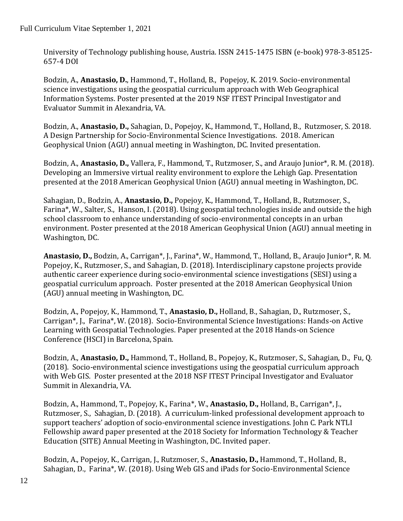University of Technology publishing house, Austria. ISSN 2415-1475 ISBN (e-book) 978-3-85125- 657-4 DOI

Bodzin, A., **Anastasio, D.**, Hammond, T., Holland, B., Popejoy, K. 2019. Socio-environmental science investigations using the geospatial curriculum approach with Web Geographical Information Systems. Poster presented at the 2019 NSF ITEST Principal Investigator and Evaluator Summit in Alexandria, VA.

Bodzin, A., **Anastasio, D.,** Sahagian, D., Popejoy, K., Hammond, T., Holland, B., Rutzmoser, S. 2018. A Design Partnership for Socio-Environmental Science Investigations. 2018. American Geophysical Union (AGU) annual meeting in Washington, DC. Invited presentation.

Bodzin, A., **Anastasio, D.,** Vallera, F., Hammond, T., Rutzmoser, S., and Araujo Junior\*, R. M. (2018). Developing an Immersive virtual reality environment to explore the Lehigh Gap. Presentation presented at the 2018 American Geophysical Union (AGU) annual meeting in Washington, DC.

Sahagian, D., Bodzin, A., **Anastasio, D.,** Popejoy, K., Hammond, T., Holland, B., Rutzmoser, S., Farina\*, W., Salter, S., Hanson, I. (2018). Using geospatial technologies inside and outside the high school classroom to enhance understanding of socio-environmental concepts in an urban environment. Poster presented at the 2018 American Geophysical Union (AGU) annual meeting in Washington, DC.

**Anastasio, D.,** Bodzin, A., Carrigan\*, J., Farina\*, W., Hammond, T., Holland, B., Araujo Junior\*, R. M. Popejoy, K., Rutzmoser, S., and Sahagian, D. (2018). Interdisciplinary capstone projects provide authentic career experience during socio-environmental science investigations (SESI) using a geospatial curriculum approach. Poster presented at the 2018 American Geophysical Union (AGU) annual meeting in Washington, DC.

Bodzin, A., Popejoy, K., Hammond, T., **Anastasio, D.,** Holland, B., Sahagian, D., Rutzmoser, S., Carrigan\*, J., Farina\*, W. (2018). Socio-Environmental Science Investigations: Hands-on Active Learning with Geospatial Technologies. Paper presented at the 2018 Hands-on Science Conference (HSCI) in Barcelona, Spain.

Bodzin, A., **Anastasio, D.,** Hammond, T., Holland, B., Popejoy, K., Rutzmoser, S., Sahagian, D., Fu, Q. (2018). Socio-environmental science investigations using the geospatial curriculum approach with Web GIS. Poster presented at the 2018 NSF ITEST Principal Investigator and Evaluator Summit in Alexandria, VA.

Bodzin, A., Hammond, T., Popejoy, K., Farina\*, W., **Anastasio, D.,** Holland, B., Carrigan\*, J., Rutzmoser, S., Sahagian, D. (2018). A curriculum-linked professional development approach to support teachers' adoption of socio-environmental science investigations. John C. Park NTLI Fellowship award paper presented at the 2018 Society for Information Technology & Teacher Education (SITE) Annual Meeting in Washington, DC. Invited paper.

Bodzin, A., Popejoy, K., Carrigan, J., Rutzmoser, S., **Anastasio, D.,** Hammond, T., Holland, B., Sahagian, D., Farina\*, W. (2018). Using Web GIS and iPads for Socio-Environmental Science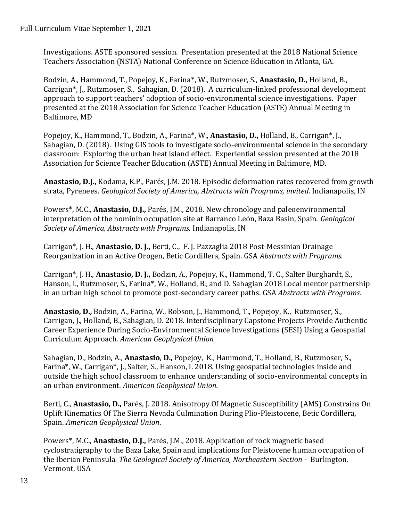Investigations. ASTE sponsored session. Presentation presented at the 2018 National Science Teachers Association (NSTA) National Conference on Science Education in Atlanta, GA.

Bodzin, A., Hammond, T., Popejoy, K., Farina\*, W., Rutzmoser, S., **Anastasio, D.,** Holland, B., Carrigan\*, J., Rutzmoser, S., Sahagian, D. (2018). A curriculum-linked professional development approach to support teachers' adoption of socio-environmental science investigations. Paper presented at the 2018 Association for Science Teacher Education (ASTE) Annual Meeting in Baltimore, MD

Popejoy, K., Hammond, T., Bodzin, A., Farina\*, W., **Anastasio, D.,** Holland, B., Carrigan\*, J., Sahagian, D. (2018). Using GIS tools to investigate socio-environmental science in the secondary classroom: Exploring the urban heat island effect. Experiential session presented at the 2018 Association for Science Teacher Education (ASTE) Annual Meeting in Baltimore, MD.

**Anastasio, D.J.,** Kodama, K.P., Parés, J.M. 2018. Episodic deformation rates recovered from growth strata, Pyrenees. *Geological Society of America, Abstracts with Programs, invited.* Indianapolis, IN

Powers\*, M.C., **Anastasio, D.J.,** Parés, J.M., 2018. New chronology and paleoenvironmental interpretation of the hominin occupation site at Barranco León, Baza Basin, Spain. *Geological Society of America, Abstracts with Programs,* Indianapolis, IN

Carrigan\*, J. H., **Anastasio, D. J.,** Berti, C., F. J. Pazzaglia 2018 Post-Messinian Drainage Reorganization in an Active Orogen, Betic Cordillera, Spain. GSA *Abstracts with Programs.*

Carrigan\*, J. H., **Anastasio, D. J.,** Bodzin, A., Popejoy, K., Hammond, T. C., Salter Burghardt, S., Hanson, I., Rutzmoser, S., Farina\*, W., Holland, B., and D. Sahagian 2018 Local mentor partnership in an urban high school to promote post-secondary career paths. GSA *Abstracts with Programs.*

**Anastasio, D.,** Bodzin, A., Farina, W., Robson, J., Hammond, T., Popejoy, K., Rutzmoser, S., Carrigan, J., Holland, B., Sahagian, D. 2018. Interdisciplinary Capstone Projects Provide Authentic Career Experience During Socio-Environmental Science Investigations (SESI) Using a Geospatial Curriculum Approach. *American Geophysical Union*

Sahagian, D., Bodzin, A., **Anastasio**, **D.,** Popejoy, K., Hammond, T., Holland, B., Rutzmoser, S., Farina\*, W., Carrigan\*, J., Salter, S., Hanson, I. 2018. Using geospatial technologies inside and outside the high school classroom to enhance understanding of socio-environmental concepts in an urban environment. *American Geophysical Union.*

Berti, C., **Anastasio, D.,** Parés, J. 2018. Anisotropy Of Magnetic Susceptibility (AMS) Constrains On Uplift Kinematics Of The Sierra Nevada Culmination During Plio-Pleistocene, Betic Cordillera, Spain. *American Geophysical Union*.

Powers\*, M.C., **Anastasio, D.J.,** Parés, J.M., 2018. Application of rock magnetic based cyclostratigraphy to the Baza Lake, Spain and implications for Pleistocene human occupation of the Iberian Peninsula*. The Geological Society of America, Northeastern Section -* Burlington, Vermont, USA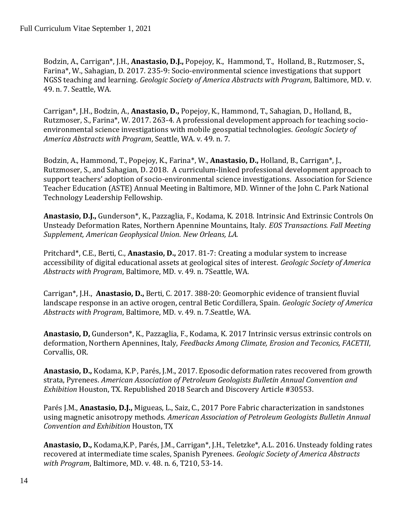Bodzin, A., Carrigan\*, J.H., **Anastasio, D.J.,** Popejoy, K., Hammond, T., Holland, B., Rutzmoser, S., Farina\*, W., Sahagian, D. 2017. 235-9: Socio-environmental science investigations that support NGSS teaching and learning. *Geologic Society of America Abstracts with Program*, Baltimore, MD. v. 49. n. 7. Seattle, WA.

Carrigan\*, J.H., Bodzin, A., **Anastasio, D.,** Popejoy, K., Hammond, T., Sahagian, D., Holland, B., Rutzmoser, S., Farina\*, W. 2017. 263-4. A professional development approach for teaching socioenvironmental science investigations with mobile geospatial technologies. *Geologic Society of America Abstracts with Program*, Seattle, WA. v. 49. n. 7.

Bodzin, A., Hammond, T., Popejoy, K., Farina\*, W., **Anastasio, D.,** Holland, B., Carrigan\*, J., Rutzmoser, S., and Sahagian, D. 2018. A curriculum-linked professional development approach to support teachers' adoption of socio-environmental science investigations. Association for Science Teacher Education (ASTE) Annual Meeting in Baltimore, MD. Winner of the John C. Park National Technology Leadership Fellowship.

**Anastasio, D.J.,** Gunderson\*, K., Pazzaglia, F., Kodama, K. 2018. Intrinsic And Extrinsic Controls On Unsteady Deformation Rates, Northern Apennine Mountains, Italy. *EOS Transactions. Fall Meeting Supplement, American Geophysical Union. New Orleans, LA.*

Pritchard\*, C.E., Berti, C., **Anastasio, D.,** 2017. 81-7: Creating a modular system to increase accessibility of digital educational assets at geological sites of interest. *Geologic Society of America Abstracts with Program*, Baltimore, MD. v. 49. n. 7Seattle, WA.

Carrigan\*, J.H., **Anastasio, D.,** Berti, C. 2017. 388-20: Geomorphic evidence of transient fluvial landscape response in an active orogen, central Betic Cordillera, Spain. *Geologic Society of America Abstracts with Program*, Baltimore, MD. v. 49. n. 7.Seattle, WA.

**Anastasio, D,** Gunderson\*, K., Pazzaglia, F., Kodama, K. 2017 Intrinsic versus extrinsic controls on deformation, Northern Apennines, Italy, *Feedbacks Among Climate, Erosion and Teconics, FACETII*, Corvallis, OR.

Anastasio, D., Kodama, K.P., Parés, J.M., 2017. Eposodic deformation rates recovered from growth strata, Pyrenees. *American Association of Petroleum Geologists Bulletin Annual Convention and Exhibition* Houston, TX. Republished 2018 Search and Discovery Article #30553.

Parés J.M., **Anastasio, D.J.,** Migueas, L., Saiz, C., 2017 Pore Fabric characterization in sandstones using magnetic anisotropy methods. *American Association of Petroleum Geologists Bulletin Annual Convention and Exhibition* Houston, TX

**Anastasio, D.,** Kodama,K.P. , Parés, J.M., Carrigan\*, J.H., Teletzke\*, A.L. 2016. Unsteady folding rates recovered at intermediate time scales, Spanish Pyrenees. *Geologic Society of America Abstracts with Program*, Baltimore, MD. v. 48. n. 6, T210, 53-14.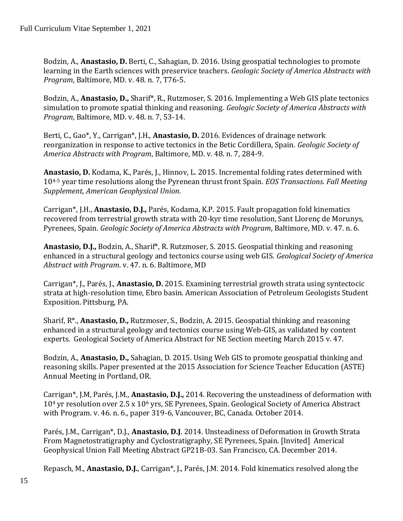Bodzin, A., **Anastasio, D.** Berti, C., Sahagian, D. 2016. Using geospatial technologies to promote learning in the Earth sciences with preservice teachers. *Geologic Society of America Abstracts with Program*, Baltimore, MD. v. 48. n. 7, T76-5.

Bodzin, A., **Anastasio, D.,** Sharif\*, R., Rutzmoser, S. 2016. Implementing a Web GIS plate tectonics simulation to promote spatial thinking and reasoning. *Geologic Society of America Abstracts with Program*, Baltimore, MD. v. 48. n. 7, 53-14.

Berti, C., Gao\*, Y., Carrigan\*, J.H., **Anastasio, D.** 2016. Evidences of drainage network reorganization in response to active tectonics in the Betic Cordillera, Spain. *Geologic Society of America Abstracts with Program*, Baltimore, MD. v. 48. n. 7, 284-9.

**Anastasio, D.** Kodama, K., Parés, J., Hinnov, L. 2015. Incremental folding rates determined with 104-5 year time resolutions along the Pyrenean thrust front Spain. *EOS Transactions. Fall Meeting Supplement, American Geophysical Union.*

Carrigan\*, J.H., **Anastasio, D.J.,** Parés, Kodama, K.P. 2015. Fault propagation fold kinematics recovered from terrestrial growth strata with 20-kyr time resolution, Sant Llorenç de Morunys, Pyrenees, Spain. *Geologic Society of America Abstracts with Program*, Baltimore, MD. v. 47. n. 6.

**Anastasio, D.J.,** Bodzin, A., Sharif\*, R. Rutzmoser, S. 2015. Geospatial thinking and reasoning enhanced in a structural geology and tectonics course using web GIS. *Geological Society of America Abstract with Program*. v. 47. n. 6. Baltimore, MD

Carrigan\*, J., Parés, J., **Anastasio, D.** 2015. Examining terrestrial growth strata using syntectocic strata at high-resolution time, Ebro basin. American Association of Petroleum Geologists Student Exposition. Pittsburg, PA.

Sharif, R\*., **Anastasio, D.,** Rutzmoser, S., Bodzin, A. 2015. Geospatial thinking and reasoning enhanced in a structural geology and tectonics course using Web-GIS, as validated by content experts. Geological Society of America Abstract for NE Section meeting March 2015 v. 47.

Bodzin, A., **Anastasio, D.,** Sahagian, D. 2015. Using Web GIS to promote geospatial thinking and reasoning skills. Paper presented at the 2015 Association for Science Teacher Education (ASTE) Annual Meeting in Portland, OR.

Carrigan\*, J.M, Parés, J.M., **Anastasio, D.J.,** 2014. Recovering the unsteadiness of deformation with 10<sup>4</sup> yr resolution over 2.5 x 10<sup>6</sup> yrs, SE Pyrenees, Spain. Geological Society of America Abstract with Program. v. 46. n. 6., paper 319-6, Vancouver, BC, Canada. October 2014.

Parés, J.M., Carrigan\*, D.J., **Anastasio, D.J**. 2014. Unsteadiness of Deformation in Growth Strata From Magnetostratigraphy and Cyclostratigraphy, SE Pyrenees, Spain. [Invited] Americal Geophysical Union Fall Meeting Abstract GP21B-03. San Francisco, CA. December 2014.

Repasch, M., **Anastasio, D.J.**, Carrigan\*, J., Parés, J.M. 2014. Fold kinematics resolved along the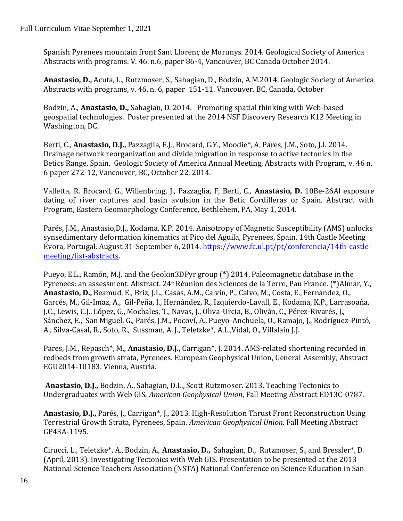Spanish Pyrenees mountain front Sant Llorenç de Morunys. 2014. Geological Society of America Abstracts with programs. V. 46. n.6, paper 86-4, Vancouver, BC Canada October 2014.

**Anastasio, D.,** Acuta, L., Rutzmoser, S., Sahagian, D., Bodzin, A.M.2014. Geologic Society of America Abstracts with programs, v. 46, n. 6, paper 151-11. Vancouver, BC, Canada, October

Bodzin, A., **Anastasio, D.,** Sahagian, D. 2014. Promoting spatial thinking with Web-based geospatial technologies. Poster presented at the 2014 NSF Discovery Research K12 Meeting in Washington, DC.

Berti, C., **Anastasio, D.J.,** Pazzaglia, F.J., Brocard, G.Y., Moodie\*, A, Pares, J.M., Soto, J.I. 2014. Drainage network reorganization and divide migration in response to active tectonics in the Betics Range, Spain. Geologic Society of America Annual Meeting, Abstracts with Program, v. 46 n. 6 paper 272-12, Vancouver, BC, October 22, 2014.

Valletta, R. Brocard, G., Willenbring, J., Pazzaglia, F, Berti, C., **Anastasio, D.** 10Be-26Al exposure dating of river captures and basin avulsion in the Betic Cordilleras or Spain. Abstract with Program, Eastern Geomorphology Conference, Bethlehem, PA, May 1, 2014.

Parés, J.M., Anastasio,D.J., Kodama, K.P. 2014. Anisotropy of Magnetic Susceptibility (AMS) unlocks synsedimentary deformation kinematics at Pico del Aguila, Pyrenees, Spain. 14th Castle Meeting Évora, Portugal. August 31-September 6, 2014. [https://www.fc.ul.pt/pt/conferencia/14th-castle](https://www.fc.ul.pt/pt/conferencia/14th-castle-meeting/list-abstracts)[meeting/list-abstracts.](https://www.fc.ul.pt/pt/conferencia/14th-castle-meeting/list-abstracts)

Pueyo, E.L., Ramón, M.J. and the Geokin3DPyr group (\*) 2014. Paleomagnetic database in the Pyrenees: an assessment. Abstract. 24<sup>e</sup> Réunion des Sciences de la Terre, Pau France. (\*)Almar, Y., **Anastasio, D.,** Beamud, E., Briz, J.L., Casas, A.M., Calvín, P., Calvo, M., Costa, E., Fernández, O., Garcés, M., Gil-Imaz, A., Gil-Peña, I., Hernández, R., Izquierdo-Lavall, E., Kodama, K.P., Larrasoaña, J.C., Lewis, C.J., López, G., Mochales, T., Navas, J., Oliva-Urcia, B., Oliván, C., Pérez-Rivarés, J., Sánchez, E., San Miguel, G., Parés, J.M., Pocoví, A., Pueyo-Anchuela, O., Ramajo, J., Rodríguez-Pintó, A., Silva-Casal, R., Soto, R., Sussman, A. J., Teletzke\*, A.L.,Vidal, O., Villalaín J.J.

Pares, J.M., Repasch\*, M., **Anastasio, D.J.,** Carrigan\*, J. 2014. AMS-related shortening recorded in redbeds from growth strata, Pyrenees. European Geophysical Union, General Assembly, Abstract EGU2014-10183. Vienna, Austria.

**Anastasio, D.J.,** Bodzin, A., Sahagian, D.L., Scott Rutzmoser. 2013. Teaching Tectonics to Undergraduates with Web GIS. *American Geophysical Union*, Fall Meeting Abstract ED13C-0787.

**Anastasio, D.J.,** Parés, J., Carrigan\*, J., 2013. High-Resolution Thrust Front Reconstruction Using Terrestrial Growth Strata, Pyrenees, Spain. *American Geophysical Union*. Fall Meeting Abstract GP43A-1195.

Cirucci, L., Teletzke\*, A., Bodzin, A., **Anastasio, D.,** Sahagian, D., Rutzmoser, S., and Bressler\*, D. (April, 2013). Investigating Tectonics with Web GIS. Presentation to be presented at the 2013 National Science Teachers Association (NSTA) National Conference on Science Education in San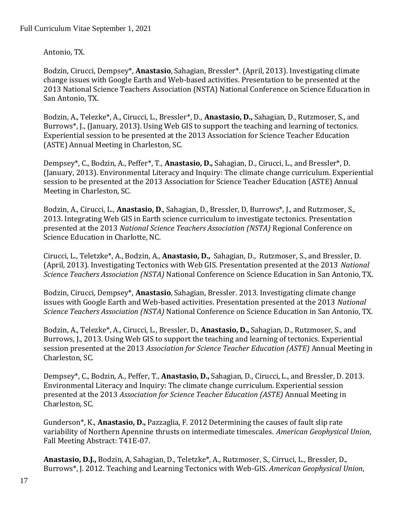Antonio, TX.

Bodzin, Cirucci, Dempsey\*, **Anastasio**, Sahagian, Bressler\*. (April, 2013). Investigating climate change issues with Google Earth and Web-based activities. Presentation to be presented at the 2013 National Science Teachers Association (NSTA) National Conference on Science Education in San Antonio, TX.

Bodzin, A., Telezke\*, A., Cirucci, L., Bressler\*, D., **Anastasio, D.,** Sahagian, D., Rutzmoser, S., and Burrows\*, J., (January, 2013). Using Web GIS to support the teaching and learning of tectonics. Experiential session to be presented at the 2013 Association for Science Teacher Education (ASTE) Annual Meeting in Charleston, SC.

Dempsey\*, C., Bodzin, A., Peffer\*, T., **Anastasio, D.,** Sahagian, D., Cirucci, L., and Bressler\*, D. (January, 2013). Environmental Literacy and Inquiry: The climate change curriculum. Experiential session to be presented at the 2013 Association for Science Teacher Education (ASTE) Annual Meeting in Charleston, SC.

Bodzin, A., Cirucci, L., **Anastasio, D**., Sahagian, D., Bressler, D, Burrows\*, J., and Rutzmoser, S., 2013. Integrating Web GIS in Earth science curriculum to investigate tectonics. Presentation presented at the 2013 *National Science Teachers Association (NSTA)* Regional Conference on Science Education in Charlotte, NC.

Cirucci, L., Teletzke\*, A., Bodzin, A., **Anastasio, D.,** Sahagian, D., Rutzmoser, S., and Bressler, D. (April, 2013). Investigating Tectonics with Web GIS. Presentation presented at the 2013 *National Science Teachers Association (NSTA)* National Conference on Science Education in San Antonio, TX.

Bodzin, Cirucci, Dempsey\*, **Anastasio**, Sahagian, Bressler. 2013. Investigating climate change issues with Google Earth and Web-based activities. Presentation presented at the 2013 *National Science Teachers Association (NSTA)* National Conference on Science Education in San Antonio, TX.

Bodzin, A., Telezke\*, A., Cirucci, L., Bressler, D., **Anastasio, D.,** Sahagian, D., Rutzmoser, S., and Burrows, J., 2013. Using Web GIS to support the teaching and learning of tectonics. Experiential session presented at the 2013 *Association for Science Teacher Education (ASTE)* Annual Meeting in Charleston, SC.

Dempsey\*, C., Bodzin, A., Peffer, T., **Anastasio, D.,** Sahagian, D., Cirucci, L., and Bressler, D. 2013. Environmental Literacy and Inquiry: The climate change curriculum. Experiential session presented at the 2013 *Association for Science Teacher Education (ASTE)* Annual Meeting in Charleston, SC.

Gunderson\*, K., **Anastasio, D.,** Pazzaglia, F. 2012 Determining the causes of fault slip rate variability of Northern Apennine thrusts on intermediate timescales. *American Geophysical Union*, Fall Meeting Abstract: T41E-07.

**Anastasio, D.J.,** Bodzin, A, Sahagian, D., Teletzke\*, A., Rutzmoser, S., Cirruci, L., Bressler, D., Burrows\*, J. 2012. Teaching and Learning Tectonics with Web-GIS. *American Geophysical Union*,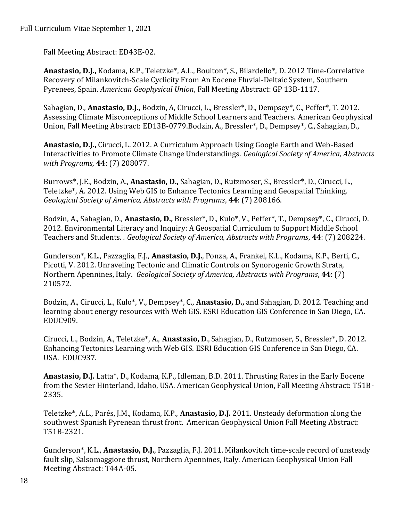Fall Meeting Abstract: ED43E-02.

**Anastasio, D.J.,** Kodama, K.P., Teletzke\*, A.L., Boulton\*, S., Bilardello\*, D. 2012 Time-Correlative Recovery of Milankovitch-Scale Cyclicity From An Eocene Fluvial-Deltaic System, Southern Pyrenees, Spain. *American Geophysical Union*, Fall Meeting Abstract: GP 13B-1117.

Sahagian, D., **Anastasio, D.J.,** Bodzin, A, Cirucci, L., Bressler\*, D., Dempsey\*, C., Peffer\*, T. 2012. Assessing Climate Misconceptions of Middle School Learners and Teachers. American Geophysical Union, Fall Meeting Abstract: ED13B-0779.Bodzin, A., Bressler\*, D., Dempsey\*, C., Sahagian, D.,

**Anastasio, D.J.,** Cirucci, L. 2012. A Curriculum Approach Using Google Earth and Web-Based Interactivities to Promote Climate Change Understandings. *Geological Society of America, Abstracts with Programs*, **44**: (7) 208077.

Burrows\*, J.E., Bodzin, A., **Anastasio, D.,** Sahagian, D., Rutzmoser, S., Bressler\*, D., Cirucci, L., Teletzke\*, A. 2012*.* Using Web GIS to Enhance Tectonics Learning and Geospatial Thinking*. Geological Society of America, Abstracts with Programs*, **44**: (7) 208166.

Bodzin, A., Sahagian, D., **Anastasio, D.,** Bressler\*, D., Kulo\*, V., Peffer\*, T., Dempsey\*, C., Cirucci, D. 2012. Environmental Literacy and Inquiry: A Geospatial Curriculum to Support Middle School Teachers and Students. *. Geological Society of America, Abstracts with Programs*, **44**: (7) 208224.

Gunderson\*, K.L., Pazzaglia, F.J., **Anastasio, D.J.**, Ponza, A., Frankel, K.L., Kodama, K.P., Berti, C., Picotti, V. 2012. Unraveling Tectonic and Climatic Controls on Synorogenic Growth Strata, Northern Apennines, Italy. *Geological Society of America, Abstracts with Programs*, **44**: (7) 210572.

Bodzin, A., Cirucci, L., Kulo\*, V., Dempsey\*, C., **Anastasio, D.,** and Sahagian, D. 2012. Teaching and learning about energy resources with Web GIS. ESRI Education GIS Conference in San Diego, CA. EDUC909.

Cirucci, L., Bodzin, A., Teletzke\*, A., **Anastasio, D**., Sahagian, D., Rutzmoser, S., Bressler\*, D. 2012. Enhancing Tectonics Learning with Web GIS. ESRI Education GIS Conference in San Diego, CA. USA. EDUC937.

**Anastasio, D.J.** Latta\*, D., Kodama, K.P., Idleman, B.D. 2011. Thrusting Rates in the Early Eocene from the Sevier Hinterland, Idaho, USA. American Geophysical Union, Fall Meeting Abstract: T51B-2335.

Teletzke\*, A.L., Parés, J.M., Kodama, K.P., **Anastasio, D.J.** 2011. Unsteady deformation along the southwest Spanish Pyrenean thrust front. American Geophysical Union Fall Meeting Abstract: T51B-2321.

Gunderson\*, K.L., **Anastasio, D.J.**, Pazzaglia, F.J. 2011. Milankovitch time-scale record of unsteady fault slip, Salsomaggiore thrust, Northern Apennines, Italy. American Geophysical Union Fall Meeting Abstract: T44A-05.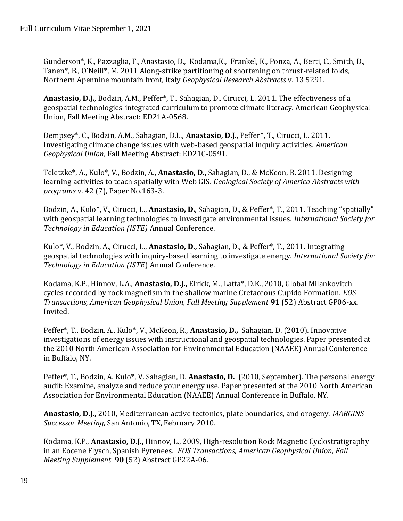Gunderson\*, K., Pazzaglia, F., Anastasio, D., Kodama,K., Frankel, K., Ponza, A., Berti, C., Smith, D., Tanen\*, B., O'Neill\*, M. 2011 Along-strike partitioning of shortening on thrust-related folds, Northern Apennine mountain front, Italy *Geophysical Research Abstracts* v. 13 5291.

**Anastasio, D.J.**, Bodzin, A.M., Peffer\*, T., Sahagian, D., Cirucci, L. 2011. The effectiveness of a geospatial technologies-integrated curriculum to promote climate literacy. American Geophysical Union, Fall Meeting Abstract: ED21A-0568.

Dempsey\*, C., Bodzin, A.M., Sahagian, D.L., **Anastasio, D.J.**, Peffer\*, T., Cirucci, L. 2011. Investigating climate change issues with web-based geospatial inquiry activities. *American Geophysical Union*, Fall Meeting Abstract: ED21C-0591.

Teletzke\*, A., Kulo\*, V., Bodzin, A., **Anastasio, D.,** Sahagian, D., & McKeon, R. 2011. Designing learning activities to teach spatially with Web GIS. *Geological Society of America Abstracts with programs* v. 42 (7), Paper No.163-3.

Bodzin, A., Kulo\*, V., Cirucci, L., **Anastasio, D.**, Sahagian, D., & Peffer\*, T., 2011. Teaching "spatially" with geospatial learning technologies to investigate environmental issues. *International Society for Technology in Education (ISTE)* Annual Conference.

Kulo\*, V., Bodzin, A., Cirucci, L., **Anastasio, D.,** Sahagian, D., & Peffer\*, T., 2011. Integrating geospatial technologies with inquiry-based learning to investigate energy. *International Society for Technology in Education (ISTE*) Annual Conference.

Kodama, K.P., Hinnov, L.A., **Anastasio, D.J.,** Elrick, M., Latta\*, D.K., 2010, Global Milankovitch cycles recorded by rock magnetism in the shallow marine Cretaceous Cupido Formation. *EOS Transactions, American Geophysical Union, Fall Meeting Supplement* **91** (52) Abstract GP06-xx. Invited.

Peffer\*, T., Bodzin, A., Kulo\*, V., McKeon, R., **Anastasio, D.,** Sahagian, D. (2010). Innovative investigations of energy issues with instructional and geospatial technologies. Paper presented at the 2010 North American Association for Environmental Education (NAAEE) Annual Conference in Buffalo, NY.

Peffer\*, T., Bodzin, A. Kulo\*, V. Sahagian, D. **Anastasio, D.** (2010, September). The personal energy audit: Examine, analyze and reduce your energy use. Paper presented at the 2010 North American Association for Environmental Education (NAAEE) Annual Conference in Buffalo, NY.

**Anastasio, D.J.,** 2010, Mediterranean active tectonics, plate boundaries, and orogeny. *MARGINS Successor Meeting*, San Antonio, TX, February 2010.

Kodama, K.P., **Anastasio, D.J.,** Hinnov, L., 2009*,* High-resolution Rock Magnetic Cyclostratigraphy in an Eocene Flysch, Spanish Pyrenees. *EOS Transactions, American Geophysical Union, Fall Meeting Supplement* **90** (52) Abstract GP22A-06.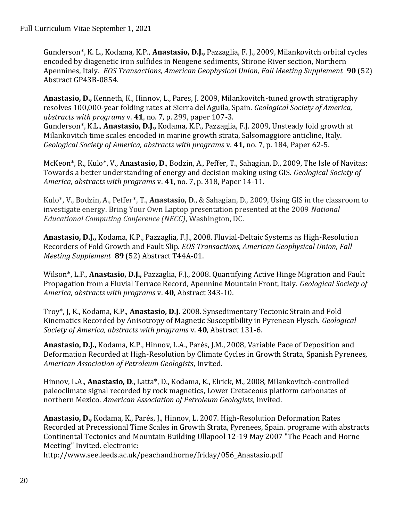Gunderson\*, K. L., Kodama, K.P., **Anastasio, D.J.,** Pazzaglia, F. J., 2009, Milankovitch orbital cycles encoded by diagenetic iron sulfides in Neogene sediments, Stirone River section, Northern Apennines, Italy. *EOS Transactions, American Geophysical Union, Fall Meeting Supplement* **90** (52) Abstract GP43B-0854.

**Anastasio, D.,** Kenneth, K., Hinnov, L., Pares, J. 2009, Milankovitch-tuned growth stratigraphy resolves 100,000-year folding rates at Sierra del Aguila, Spain. *Geological Society of America, abstracts with programs* v. **41**, no. 7, p. 299, paper 107-3. Gunderson\*, K.L., **Anastasio, D.J.,** Kodama, K.P., Pazzaglia, F.J. 2009, Unsteady fold growth at Milankovitch time scales encoded in marine growth strata, Salsomaggiore anticline, Italy. *Geological Society of America, abstracts with programs* v. **41,** no. 7, p. 184, Paper 62-5.

McKeon\*, R., Kulo\*, V., **Anastasio, D**., Bodzin, A., Peffer, T., Sahagian, D., 2009, The Isle of Navitas: Towards a better understanding of energy and decision making using GIS. *Geological Society of America, abstracts with programs* v. **41**, no. 7, p. 318, Paper 14-11.

Kulo\*, V., Bodzin, A., Peffer\*, T., **Anastasio, D**., & Sahagian, D., 2009, Using GIS in the classroom to investigate energy. Bring Your Own Laptop presentation presented at the 2009 *National Educational Computing Conference (NECC)*, Washington, DC.

**Anastasio, D.J.,** Kodama, K.P., Pazzaglia, F.J., 2008. Fluvial-Deltaic Systems as High-Resolution Recorders of Fold Growth and Fault Slip. *EOS Transactions, American Geophysical Union, Fall Meeting Supplement* **89** (52) Abstract T44A-01.

Wilson\*, L.F., **Anastasio, D.J.,** Pazzaglia, F.J., 2008. Quantifying Active Hinge Migration and Fault Propagation from a Fluvial Terrace Record, Apennine Mountain Front, Italy. *Geological Society of America, abstracts with programs* v. **40**, Abstract 343-10.

Troy\*, J, K., Kodama, K.P., **Anastasio, D.J.** 2008. Synsedimentary Tectonic Strain and Fold Kinematics Recorded by Anisotropy of Magnetic Susceptibility in Pyrenean Flysch. *Geological Society of America, abstracts with programs* v. **40**, Abstract 131-6.

**Anastasio, D.J.,** Kodama, K.P., Hinnov, L.A., Parés, J.M., 2008, Variable Pace of Deposition and Deformation Recorded at High-Resolution by Climate Cycles in Growth Strata, Spanish Pyrenees, *American Association of Petroleum Geologists*, Invited.

Hinnov, L.A., **Anastasio, D**., Latta\*, D., Kodama, K., Elrick, M., 2008, Milankovitch-controlled paleoclimate signal recorded by rock magnetics, Lower Cretaceous platform carbonates of northern Mexico. *American Association of Petroleum Geologists*, Invited.

**Anastasio, D.,** Kodama, K., Parés, J., Hinnov, L. 2007. High-Resolution Deformation Rates Recorded at Precessional Time Scales in Growth Strata, Pyrenees, Spain. programe with abstracts Continental Tectonics and Mountain Building Ullapool 12-19 May 2007 "The Peach and Horne Meeting" Invited. electronic:

[http://www.see.leeds.ac.uk/peachandhorne/friday/056\\_Anastasio.pdf](http://www.see.leeds.ac.uk/peachandhorne/friday/056_Anastasio.pdf)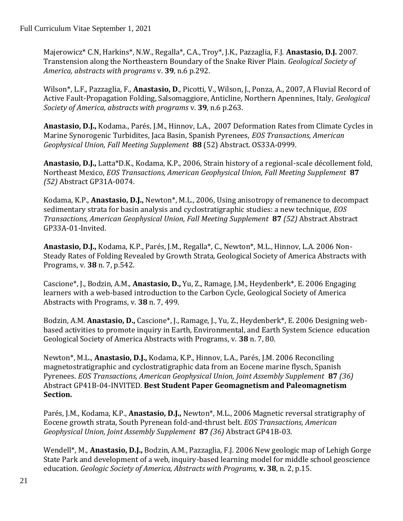Majerowicz\* C.N, Harkins\*, N.W., Regalla\*, C.A., Troy\*, J.K., Pazzaglia, F.J. **Anastasio, D.J.** 2007. Transtension along the Northeastern Boundary of the Snake River Plain. *Geological Society of America, abstracts with programs* v. **39**, n.6 p.292.

Wilson\*, L.F., Pazzaglia, F., **Anastasio, D**., Picotti, V., Wilson, J., Ponza, A., 2007, A Fluvial Record of Active Fault-Propagation Folding, Salsomaggiore, Anticline, Northern Apennines, Italy, *Geological Society of America, abstracts with programs* v. **39**, n.6 p.263.

**Anastasio, D.J.,** Kodama., Parés, J.M., Hinnov, L.A., 2007 Deformation Rates from Climate Cycles in Marine Synorogenic Turbidites, Jaca Basin, Spanish Pyrenees, *EOS Transactions, American Geophysical Union, Fall Meeting Supplement* **88** (52) Abstract. OS33A-0999.

**Anastasio, D.J.,** Latta\*D.K., Kodama, K.P., 2006, Strain history of a regional-scale décollement fold, Northeast Mexico, *EOS Transactions, American Geophysical Union, Fall Meeting Supplement* **87** *(52)* Abstract GP31A-0074.

Kodama, K.P., **Anastasio, D.J.,** Newton\*, M.L., 2006, Using anisotropy of remanence to decompact sedimentary strata for basin analysis and cyclostratigraphic studies: a new technique, *EOS Transactions, American Geophysical Union, Fall Meeting Supplement* **87** *(52)* Abstract Abstract GP33A-01-Invited.

**Anastasio, D.J.,** Kodama, K.P., Parés, J.M., Regalla\*, C., Newton\*, M.L., Hinnov, L.A. 2006 Non-Steady Rates of Folding Revealed by Growth Strata, Geological Society of America Abstracts with Programs, v. **38** n. 7, p.542.

Cascione\*, J., Bodzin, A.M., **Anastasio, D.,** Yu, Z., Ramage, J.M., Heydenberk\*, E. 2006 Engaging learners with a web-based introduction to the Carbon Cycle, Geological Society of America Abstracts with Programs, v. **38** n. 7, 499.

Bodzin, A.M. **Anastasio, D.,** Cascione\*, J., Ramage, J., Yu, Z., Heydenberk\*, E. 2006 Designing webbased activities to promote inquiry in Earth, Environmental, and Earth System Science education Geological Society of America Abstracts with Programs, v. **38** n. 7, 80.

Newton\*, M.L., **Anastasio, D.J.,** Kodama, K.P., Hinnov, L.A., Parés, J.M. 2006 Reconciling magnetostratigraphic and cyclostratigraphic data from an Eocene marine flysch, Spanish Pyrenees. *EOS Transactions, American Geophysical Union, Joint Assembly Supplement* **87** *(36)*  Abstract GP41B-04-INVITED. **Best Student Paper Geomagnetism and Paleomagnetism Section.**

Parés, J.M., Kodama, K.P., **Anastasio, D.J.,** Newton\*, M.L., 2006 Magnetic reversal stratigraphy of Eocene growth strata, South Pyrenean fold-and-thrust belt. *EOS Transactions, American Geophysical Union, Joint Assembly Supplement* **87** *(36)* Abstract GP41B-03.

Wendell\*, M., **Anastasio, D.J.,** Bodzin, A.M., Pazzaglia, F.J. 2006 New geologic map of Lehigh Gorge State Park and development of a web, inquiry-based learning model for middle school geoscience education. *Geologic Society of America, Abstracts with Programs,* **v. 38**, n. 2, p.15.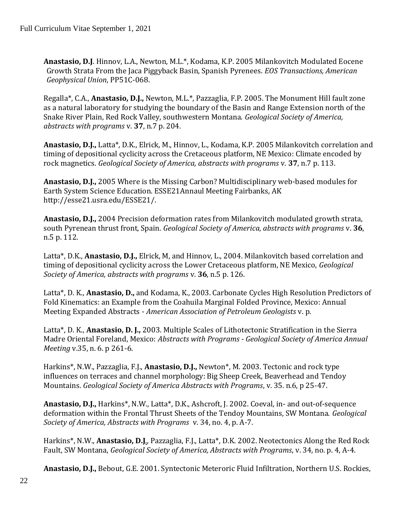**Anastasio, D.J**. Hinnov, L.A., Newton, M.L.\*, Kodama, K.P. 2005 Milankovitch Modulated Eocene Growth Strata From the Jaca Piggyback Basin, Spanish Pyrenees. *EOS Transactions, American Geophysical Union*, PP51C-068.

Regalla\*, C.A., **Anastasio, D.J.,** Newton, M.L.\*, Pazzaglia, F.P. 2005. The Monument Hill fault zone as a natural laboratory for studying the boundary of the Basin and Range Extension north of the Snake River Plain, Red Rock Valley, southwestern Montana. *Geological Society of America, abstracts with programs* v. **37**, n.7 p. 204.

**Anastasio, D.J.,** Latta\*, D.K., Elrick, M., Hinnov, L., Kodama, K.P. 2005 Milankovitch correlation and timing of depositional cyclicity across the Cretaceous platform, NE Mexico: Climate encoded by rock magnetics. *Geological Society of America, abstracts with programs* v. **37**, n.7 p. 113.

**Anastasio, D.J.,** 2005 Where is the Missing Carbon? Multidisciplinary web-based modules for Earth System Science Education. ESSE21Annaul Meeting Fairbanks, AK http://esse21.usra.edu/ESSE21/.

**Anastasio, D.J.,** 2004 Precision deformation rates from Milankovitch modulated growth strata, south Pyrenean thrust front, Spain. *Geological Society of America, abstracts with programs* v. **36**, n.5 p. 112.

Latta\*, D.K., **Anastasio, D.J.,** Elrick, M, and Hinnov, L., 2004. Milankovitch based correlation and timing of depositional cyclicity across the Lower Cretaceous platform, NE Mexico, *Geological Society of America, abstracts with programs* v. **36**, n.5 p. 126.

Latta\*, D. K., **Anastasio, D.,** and Kodama, K., 2003. Carbonate Cycles High Resolution Predictors of Fold Kinematics: an Example from the Coahuila Marginal Folded Province, Mexico: Annual Meeting Expanded Abstracts - *American Association of Petroleum Geologists* v. p.

Latta\*, D. K., **Anastasio, D. J.,** 2003. Multiple Scales of Lithotectonic Stratification in the Sierra Madre Oriental Foreland, Mexico: *Abstracts with Programs - Geological Society of America Annual Meeting* v.35, n. 6. p 261-6.

Harkins\*, N.W., Pazzaglia, F.J., **Anastasio, D.J.,** Newton\*, M. 2003. Tectonic and rock type influences on terraces and channel morphology: Big Sheep Creek, Beaverhead and Tendoy Mountains. *Geological Society of America Abstracts with Programs*, v. 35. n.6, p 25-47.

**Anastasio, D.J.,** Harkins\*, N.W., Latta\*, D.K., Ashcroft, J. 2002. Coeval, in- and out-of-sequence deformation within the Frontal Thrust Sheets of the Tendoy Mountains, SW Montana. *Geological Society of America, Abstracts with Programs* v. 34, no. 4, p. A-7.

Harkins\*, N.W., **Anastasio, D.J**., Pazzaglia, F.J., Latta\*, D.K. 2002. Neotectonics Along the Red Rock Fault, SW Montana, *Geological Society of America, Abstracts with Programs*, v. 34, no. p. 4, A-4.

**Anastasio, D.J.,** Bebout, G.E. 2001. Syntectonic Meteroric Fluid Infiltration, Northern U.S. Rockies,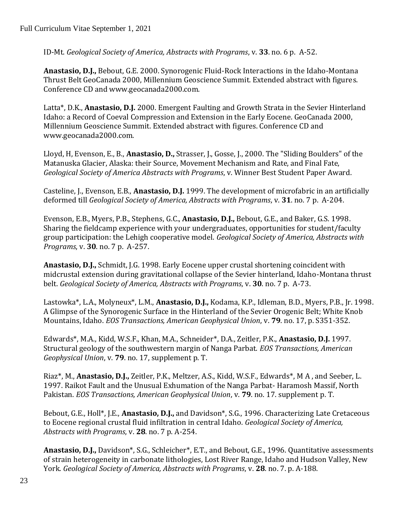ID-Mt. *Geological Society of America, Abstracts with Programs*, v. **33**. no. 6 p. A-52.

**Anastasio, D.J.,** Bebout, G.E. 2000. Synorogenic Fluid-Rock Interactions in the Idaho-Montana Thrust Belt GeoCanada 2000, Millennium Geoscience Summit. Extended abstract with figures. Conference CD and www.geocanada2000.com.

Latta\*, D.K., **Anastasio, D.J.** 2000. Emergent Faulting and Growth Strata in the Sevier Hinterland Idaho: a Record of Coeval Compression and Extension in the Early Eocene. GeoCanada 2000, Millennium Geoscience Summit. Extended abstract with figures. Conference CD and www.geocanada2000.com.

Lloyd, H, Evenson, E., B., **Anastasio, D.,** Strasser, J., Gosse, J., 2000. The "Sliding Boulders" of the Matanuska Glacier, Alaska: their Source, Movement Mechanism and Rate, and Final Fate, *Geological Society of America Abstracts with Programs*, v. Winner Best Student Paper Award.

Casteline, J., Evenson, E.B., **Anastasio, D.J.** 1999. The development of microfabric in an artificially deformed till *Geological Society of America, Abstracts with Programs*, v. **31**. no. 7 p. A-204.

Evenson, E.B., Myers, P.B., Stephens, G.C., **Anastasio, D.J.,** Bebout, G.E., and Baker, G.S. 1998. Sharing the fieldcamp experience with your undergraduates, opportunities for student/faculty group participation: the Lehigh cooperative model. *Geological Society of America, Abstracts with Programs*, v. **30**. no. 7 p. A-257.

**Anastasio, D.J.,** Schmidt, J.G. 1998. Early Eocene upper crustal shortening coincident with midcrustal extension during gravitational collapse of the Sevier hinterland, Idaho-Montana thrust belt. *Geological Society of America, Abstracts with Programs*, v. **30**. no. 7 p. A-73.

Lastowka\*, L.A., Molyneux\*, L.M., **Anastasio, D.J.,** Kodama, K.P., Idleman, B.D., Myers, P.B., Jr. 1998. A Glimpse of the Synorogenic Surface in the Hinterland of the Sevier Orogenic Belt; White Knob Mountains, Idaho. *EOS Transactions, American Geophysical Union*, v. **79**. no. 17, p. S351-352.

Edwards\*, M.A., Kidd, W.S.F., Khan, M.A., Schneider\*, D.A., Zeitler, P.K., **Anastasio, D.J.** 1997. Structural geology of the southwestern margin of Nanga Parbat. *EOS Transactions, American Geophysical Union*, v. **79**. no. 17, supplement p. T.

Riaz\*, M., **Anastasio, D.J.,** Zeitler, P.K., Meltzer, A.S., Kidd, W.S.F., Edwards\*, M A , and Seeber, L. 1997. Raikot Fault and the Unusual Exhumation of the Nanga Parbat- Haramosh Massif, North Pakistan. *EOS Transactions, American Geophysical Union*, v. **79**. no. 17. supplement p. T.

Bebout, G.E., Holl\*, J.E., **Anastasio, D.J.,** and Davidson\*, S.G., 1996. Characterizing Late Cretaceous to Eocene regional crustal fluid infiltration in central Idaho*. Geological Society of America, Abstracts with Programs*, v. **28**. no. 7 p. A-254.

**Anastasio, D.J.,** Davidson\*, S.G., Schleicher\*, E.T., and Bebout, G.E., 1996. Quantitative assessments of strain heterogeneity in carbonate lithologies, Lost River Range, Idaho and Hudson Valley, New York. *Geological Society of America, Abstracts with Programs*, v. **28**. no. 7. p. A-188.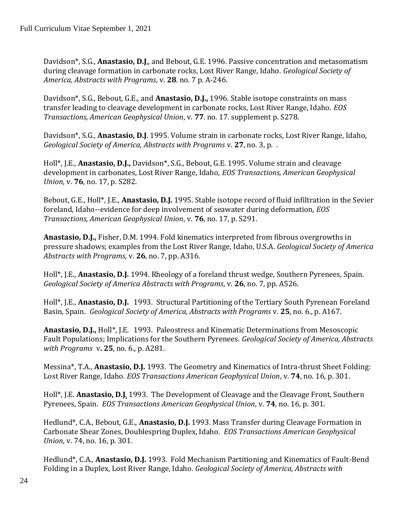Davidson\*, S.G., **Anastasio, D.J**., and Bebout, G.E. 1996. Passive concentration and metasomatism during cleavage formation in carbonate rocks, Lost River Range, Idaho. *Geological Society of America, Abstracts with Programs*, v. **28**. no. 7 p. A-246.

Davidson\*, S.G., Bebout, G.E., and **Anastasio, D.J.,** 1996. Stable isotope constraints on mass transfer leading to cleavage development in carbonate rocks, Lost River Range, Idaho. *EOS Transactions, American Geophysical Union*, v. **77**. no. 17. supplement p. S278.

Davidson\*, S.G., **Anastasio, D.J**. 1995. Volume strain in carbonate rocks, Lost River Range, Idaho, *Geological Society of America, Abstracts with Programs* v. **27**, no. 3, p. .

Holl\*, J.E., **Anastasio, D.J.,** Davidson\*, S.G., Bebout, G.E. 1995. Volume strain and cleavage development in carbonates, Lost River Range, Idaho, *EOS Transactions, American Geophysical Union*, v. **76**, no. 17, p. S282.

Bebout, G.E., Holl\*, J.E., **Anastasio, D.J.** 1995. Stable isotope record of fluid infiltration in the Sevier foreland, Idaho--evidence for deep involvement of seawater during deformation*, EOS Transactions, American Geophysical Union*, v. **76**, no. 17, p. S291.

**Anastasio, D.J.,** Fisher, D.M. 1994. Fold kinematics interpreted from fibrous overgrowths in pressure shadows; examples from the Lost River Range, Idaho, U.S.A. *Geological Society of America Abstracts with Programs*, v. **26**, no. 7, pp. A316.

Holl\*, J.E., **Anastasio, D.J.** 1994. Rheology of a foreland thrust wedge, Southern Pyrenees, Spain. *Geological Society of America Abstracts with Programs*, v. **26**, no. 7, pp. A526.

Holl\*, J.E., **Anastasio, D.J.** 1993. Structural Partitioning of the Tertiary South Pyrenean Foreland Basin, Spain. *Geological Society of America, Abstracts with Programs* v. **25**, no. 6., p. A167.

**Anastasio, D.J.,** Holl\*, J.E. 1993. Paleostress and Kinematic Determinations from Mesoscopic Fault Populations; Implications for the Southern Pyrenees*. Geological Society of America, Abstracts with Programs* v**. 25**, no. 6., p. A281.

Messina\*, T.A., **Anastasio, D.J.** 1993. The Geometry and Kinematics of Intra-thrust Sheet Folding: Lost River Range, Idaho*. EOS Transactions American Geophysical Union*, v. **74**, no. 16, p. 301.

Holl\*, J.E. **Anastasio, D.J**. 1993. The Development of Cleavage and the Cleavage Front, Southern Pyrenees, Spain. *EOS Transactions American Geophysical Union*, v. **74**, no. 16, p. 301.

Hedlund\*, C.A., Bebout, G.E., **Anastasio, D.J.** 1993. Mass Transfer during Cleavage Formation in Carbonate Shear Zones, Doublespring Duplex, Idaho*. EOS Transactions American Geophysical Union*, v. 74, no. 16, p. 301.

Hedlund\*, C.A., **Anastasio, D.J.** 1993. Fold Mechanism Partitioning and Kinematics of Fault-Bend Folding in a Duplex, Lost River Range, Idaho*. Geological Society of America, Abstracts with*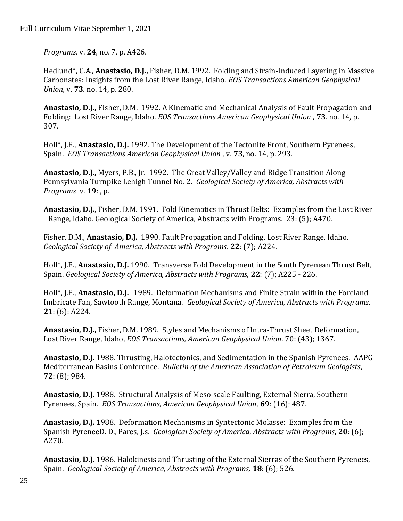*Programs*, v. **24**, no. 7, p. A426.

Hedlund\*, C.A., **Anastasio, D.J.,** Fisher, D.M. 1992. Folding and Strain-Induced Layering in Massive Carbonates: Insights from the Lost River Range, Idaho. *EOS Transactions American Geophysical Union*, v. **73**. no. 14, p. 280.

**Anastasio, D.J.,** Fisher, D.M. 1992. A Kinematic and Mechanical Analysis of Fault Propagation and Folding: Lost River Range, Idaho. *EOS Transactions American Geophysical Union* , **73**. no. 14, p. 307.

Holl\*, J.E., **Anastasio, D.J.** 1992. The Development of the Tectonite Front, Southern Pyrenees, Spain. *EOS Transactions American Geophysical Union* , v. **73**, no. 14, p. 293.

**Anastasio, D.J.,** Myers, P.B., Jr. 1992. The Great Valley/Valley and Ridge Transition Along Pennsylvania Turnpike Lehigh Tunnel No. 2. *Geological Society of America, Abstracts with Programs* v. **19**: , p.

**Anastasio, D.J.**, Fisher, D.M. 1991. Fold Kinematics in Thrust Belts: Examples from the Lost River Range, Idaho. Geological Society of America, Abstracts with Programs. 23: (5); A470.

Fisher, D.M., **Anastasio, D.J.** 1990. Fault Propagation and Folding, Lost River Range, Idaho*. Geological Society of America, Abstracts with Programs*. **22**: (7); A224.

Holl\*, J.E., **Anastasio, D.J.** 1990. Transverse Fold Development in the South Pyrenean Thrust Belt, Spain. *Geological Society of America, Abstracts with Programs,* **22**: (7); A225 - 226.

Holl\*, J.E., **Anastasio, D.J.** 1989. Deformation Mechanisms and Finite Strain within the Foreland Imbricate Fan, Sawtooth Range, Montana. *Geological Society of America, Abstracts with Programs*, **21**: (6): A224.

**Anastasio, D.J.,** Fisher, D.M. 1989. Styles and Mechanisms of Intra-Thrust Sheet Deformation, Lost River Range, Idaho, *EOS Transactions, American Geophysical Union*. 70: (43); 1367.

**Anastasio, D.J.** 1988. Thrusting, Halotectonics, and Sedimentation in the Spanish Pyrenees. AAPG Mediterranean Basins Conference*. Bulletin of the American Association of Petroleum Geologists*, **72**: (8); 984.

**Anastasio, D.J.** 1988. Structural Analysis of Meso-scale Faulting, External Sierra, Southern Pyrenees, Spain. *EOS Transactions, American Geophysical Union*, **69**: (16); 487.

**Anastasio, D.J.** 1988. Deformation Mechanisms in Syntectonic Molasse: Examples from the Spanish PyreneeD. D., Pares, J.s. *Geological Society of America, Abstracts with Programs*, **20**: (6); A270.

**Anastasio, D.J.** 1986. Halokinesis and Thrusting of the External Sierras of the Southern Pyrenees, Spain. *Geological Society of America, Abstracts with Programs,* **18**: (6); 526.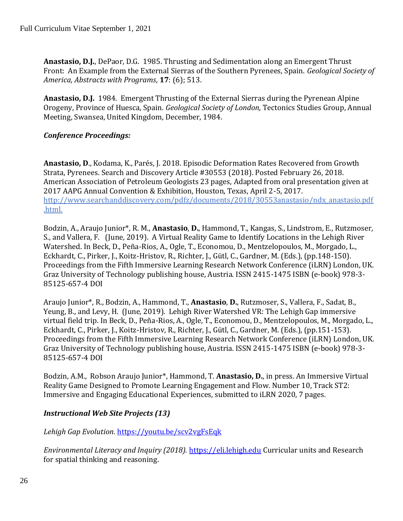**Anastasio, D.J.**, DePaor, D.G. 1985. Thrusting and Sedimentation along an Emergent Thrust Front: An Example from the External Sierras of the Southern Pyrenees, Spain. *Geological Society of America, Abstracts with Programs*, **17**: (6); 513.

**Anastasio, D.J.** 1984. Emergent Thrusting of the External Sierras during the Pyrenean Alpine Orogeny, Province of Huesca, Spain. *Geological Society of London,* Tectonics Studies Group, Annual Meeting, Swansea, United Kingdom, December, 1984.

#### *Conference Proceedings:*

**Anastasio, D**., Kodama, K., Parés, J. 2018. Episodic Deformation Rates Recovered from Growth Strata, Pyrenees. Search and Discovery Article #30553 (2018). Posted February 26, 2018. American Association of Petroleum Geologists 23 pages, Adapted from oral presentation given at 2017 AAPG Annual Convention & Exhibition, Houston, Texas, April 2-5, 2017. http://www.searchanddiscovery.com/pdfz/documents/2018/30553anastasio/ndx\_anastasio.pdf .html.

Bodzin, A., Araujo Junior\*, R. M., **Anastasio**, **D.**, Hammond, T., Kangas, S., Lindstrom, E., Rutzmoser, S., and Vallera, F. (June, 2019). A Virtual Reality Game to Identify Locations in the Lehigh River Watershed. In Beck, D., Peña-Rios, A., Ogle, T., Economou, D., Mentzelopoulos, M., Morgado, L., Eckhardt, C., Pirker, J., Koitz-Hristov, R., Richter, J., Gütl, C., Gardner, M. (Eds.), (pp.148-150). Proceedings from the Fifth Immersive Learning Research Network Conference (iLRN) London, UK. Graz University of Technology publishing house, Austria. ISSN 2415-1475 ISBN (e-book) 978-3- 85125-657-4 DOI

Araujo Junior\*, R., Bodzin, A., Hammond, T., **Anastasio**, **D.**, Rutzmoser, S., Vallera, F., Sadat, B., Yeung, B., and Levy, H. (June, 2019). Lehigh River Watershed VR: The Lehigh Gap immersive virtual field trip. In Beck, D., Peña-Rios, A., Ogle, T., Economou, D., Mentzelopoulos, M., Morgado, L., Eckhardt, C., Pirker, J., Koitz-Hristov, R., Richter, J., Gütl, C., Gardner, M. (Eds.), (pp.151-153). Proceedings from the Fifth Immersive Learning Research Network Conference (iLRN) London, UK. Graz University of Technology publishing house, Austria. ISSN 2415-1475 ISBN (e-book) 978-3- 85125-657-4 DOI

Bodzin, A.M., Robson Araujo Junior\*, Hammond, T. **Anastasio, D.**, in press. An Immersive Virtual Reality Game Designed to Promote Learning Engagement and Flow. Number 10, Track ST2: Immersive and Engaging Educational Experiences, submitted to iLRN 2020, 7 pages.

### *Instructional Web Site Projects (13)*

*Lehigh Gap Evolution.* [https://youtu.be/scv2vgFsEqk](https://www.google.com/url?q=https://youtu.be/scv2vgFsEqk&source=gmail-imap&ust=1630422646000000&usg=AOvVaw2CzDXP7AS3Spla_z0Nyv1P)

*Environmental Literacy and Inquiry (2018).* https://eli.lehigh.edu Curricular units and Research for spatial thinking and reasoning.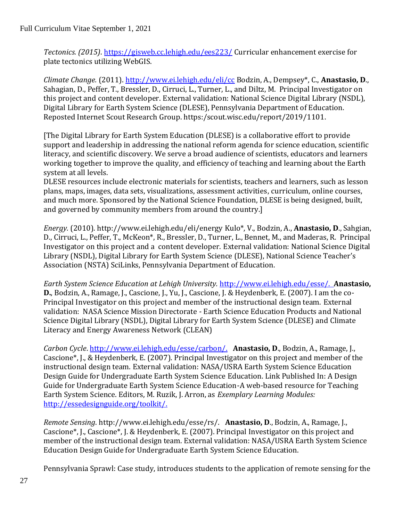*Tectonics. (2015)*. https://gisweb.cc.lehigh.edu/ees223/ Curricular enhancement exercise for plate tectonics utilizing WebGIS.

*Climate Change.* (2011). http://www.ei.lehigh.edu/eli/cc Bodzin, A., Dempsey\*, C., **Anastasio, D**., Sahagian, D., Peffer, T., Bressler, D., Cirruci, L., Turner, L., and Diltz, M. Principal Investigator on this project and content developer. External validation: National Science Digital Library (NSDL), Digital Library for Earth System Science (DLESE), Pennsylvania Department of Education. Reposted Internet Scout Research Group. https:/scout.wisc.edu/report/2019/1101.

[The Digital Library for Earth System Education (DLESE) is a collaborative effort to provide support and leadership in addressing the national reform agenda for science education, scientific literacy, and scientific discovery. We serve a broad audience of scientists, educators and learners working together to improve the quality, and efficiency of teaching and learning about the Earth system at all levels.

DLESE resources include electronic materials for scientists, teachers and learners, such as lesson plans, maps, images, data sets, visualizations, assessment activities, curriculum, online courses, and much more. Sponsored by the National Science Foundation, DLESE is being designed, built, and governed by community members from around the country.]

*Energy.* (2010). http://www.ei.lehigh.edu/eli/energy Kulo\*, V., Bodzin, A., **Anastasio, D**., Sahgian, D., Cirruci, L., Peffer, T., McKeon\*, R., Bressler, D., Turner, L., Bennet, M., and Maderas, R. Principal Investigator on this project and a content developer. External validation: National Science Digital Library (NSDL), Digital Library for Earth System Science (DLESE), National Science Teacher's Association (NSTA) SciLinks, Pennsylvania Department of Education.

*Earth System Science Education at Lehigh University.* http://www.ei.lehigh.edu/esse/. **Anastasio, D.**, Bodzin, A., Ramage, J., Cascione, J., Yu, J., Cascione, J. & Heydenberk, E. (2007). I am the co-Principal Investigator on this project and member of the instructional design team. External validation: NASA Science Mission Directorate - Earth Science Education Products and National Science Digital Library (NSDL), Digital Library for Earth System Science (DLESE) and Climate Literacy and Energy Awareness Network (CLEAN)

*Carbon Cycle*. http://www.ei.lehigh.edu/esse/carbon/. **Anastasio, D**., Bodzin, A., Ramage, J., Cascione\*, J., & Heydenberk, E. (2007). Principal Investigator on this project and member of the instructional design team. External validation: NASA/USRA Earth System Science Education Design Guide for Undergraduate Earth System Science Education. Link Published In: A Design Guide for Undergraduate Earth System Science Education-A web-based resource for Teaching Earth System Science. Editors, M. Ruzik, J. Arron, as *Exemplary Learning Modules:*  [http://essedesignguide.org/toolkit/.](http://essedesignguide.org/toolkit/)

*Remote Sensing*. http://www.ei.lehigh.edu/esse/rs/. **Anastasio, D**., Bodzin, A., Ramage, J., Cascione\*, J., Cascione\*, J. & Heydenberk, E. (2007). Principal Investigator on this project and member of the instructional design team. External validation: NASA/USRA Earth System Science Education Design Guide for Undergraduate Earth System Science Education.

Pennsylvania Sprawl: Case study, introduces students to the application of remote sensing for the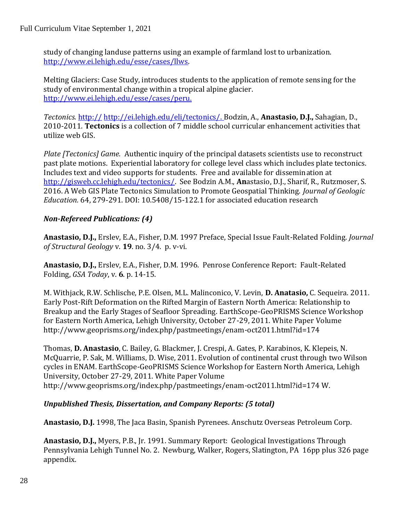study of changing landuse patterns using an example of farmland lost to urbanization. [http://www.ei.lehigh.edu/esse/cases/llws.](http://www.ei.lehigh.edu/esse/cases/llws)

Melting Glaciers: Case Study, introduces students to the application of remote sensing for the study of environmental change within a tropical alpine glacier. [http://www.ei.lehigh.edu/esse/cases/peru.](http://www.ei.lehigh.edu/esse/cases/peru)

*Tectonics.* http:// http://ei.lehigh.edu/eli/tectonics/. Bodzin, A., **Anastasio, D.J.,** Sahagian, D., 2010-2011. **Tectonics** is a collection of 7 middle school curricular enhancement activities that utilize web GIS.

*Plate [Tectonics] Game.* Authentic inquiry of the principal datasets scientists use to reconstruct past plate motions. Experiential laboratory for college level class which includes plate tectonics. Includes text and video supports for students. Free and available for dissemination at [http://gisweb.cc.lehigh.edu/tectonics/.](http://gisweb.cc.lehigh.edu/tectonics/) See Bodzin A.M., **An**astasio, D.J., Sharif, R., Rutzmoser, S. 2016. A Web GIS Plate Tectonics Simulation to Promote Geospatial Thinking. *Journal of Geologic Education.* 64, 279-291. DOI: 10.5408/15-122.1 for associated education research

### *Non-Refereed Publications: (4)*

**Anastasio, D.J.,** Erslev, E.A., Fisher, D.M. 1997 Preface, Special Issue Fault-Related Folding. *Journal of Structural Geology* v. **19**. no. 3/4. p. v-vi.

**Anastasio, D.J.,** Erslev, E.A., Fisher, D.M. 1996. Penrose Conference Report: Fault-Related Folding, *GSA Today*, v. **6**. p. 14-15.

M. Withjack, R.W. Schlische, P.E. Olsen, M.L. Malinconico, V. Levin, **D. Anatasio,** C. Sequeira. 2011. Early Post-Rift Deformation on the Rifted Margin of Eastern North America: Relationship to Breakup and the Early Stages of Seafloor Spreading. EarthScope-GeoPRISMS Science Workshop for Eastern North America, Lehigh University, October 27-29, 2011. White Paper Volume http://www.geoprisms.org/index.php/pastmeetings/enam-oct2011.html?id=174

Thomas, **D. Anastasio**, C. Bailey, G. Blackmer, J. Crespi, A. Gates, P. Karabinos, K. Klepeis, N. McQuarrie, P. Sak, M. Williams, D. Wise, 2011. Evolution of continental crust through two Wilson cycles in ENAM. EarthScope-GeoPRISMS Science Workshop for Eastern North America, Lehigh University, October 27-29, 2011. White Paper Volume http://www.geoprisms.org/index.php/pastmeetings/enam-oct2011.html?id=174 W.

# *Unpublished Thesis, Dissertation, and Company Reports: (5 total)*

**Anastasio, D.J.** 1998, The Jaca Basin, Spanish Pyrenees. Anschutz Overseas Petroleum Corp.

**Anastasio, D.J.,** Myers, P.B., Jr. 1991. Summary Report: Geological Investigations Through Pennsylvania Lehigh Tunnel No. 2. Newburg, Walker, Rogers, Slatington, PA 16pp plus 326 page appendix.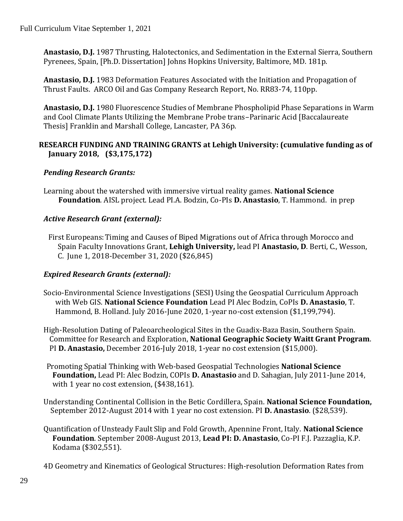Full Curriculum Vitae September 1, 2021

**Anastasio, D.J.** 1987 Thrusting, Halotectonics, and Sedimentation in the External Sierra, Southern Pyrenees, Spain, [Ph.D. Dissertation] Johns Hopkins University, Baltimore, MD. 181p.

**Anastasio, D.J.** 1983 Deformation Features Associated with the Initiation and Propagation of Thrust Faults. ARCO Oil and Gas Company Research Report, No. RR83-74, 110pp.

**Anastasio, D.J.** 1980 Fluorescence Studies of Membrane Phospholipid Phase Separations in Warm and Cool Climate Plants Utilizing the Membrane Probe trans–Parinaric Acid [Baccalaureate Thesis] Franklin and Marshall College, Lancaster, PA 36p.

#### **RESEARCH FUNDING AND TRAINING GRANTS at Lehigh University: (cumulative funding as of January 2018, (\$3,175,172)**

#### *Pending Research Grants:*

Learning about the watershed with immersive virtual reality games. **National Science Foundation**. AISL project. Lead PI.A. Bodzin, Co-PIs **D. Anastasio**, T. Hammond. in prep

#### *Active Research Grant (external):*

First Europeans:Timing and Causes of Biped Migrations out of Africa through Morocco and Spain Faculty Innovations Grant, **Lehigh University,** lead PI **Anastasio, D**. Berti, C., Wesson, C. June 1, 2018-December 31, 2020 (\$26,845)

### *Expired Research Grants (external):*

- Socio-Environmental Science Investigations (SESI) Using the Geospatial Curriculum Approach with Web GIS. **National Science Foundation** Lead PI Alec Bodzin, CoPIs **D. Anastasio**, T. Hammond, B. Holland. July 2016-June 2020, 1-year no-cost extension (\$1,199,794).
- High-Resolution Dating of Paleoarcheological Sites in the Guadix-Baza Basin, Southern Spain. Committee for Research and Exploration, **National Geographic Society Waitt Grant Program**. PI **D. Anastasio,** December 2016-July 2018, 1-year no cost extension (\$15,000).
- Promoting Spatial Thinking with Web-based Geospatial Technologies **National Science Foundation,** Lead PI: Alec Bodzin, COPIs **D. Anastasio** and D. Sahagian, July 2011-June 2014, with 1 year no cost extension, (\$438,161).
- Understanding Continental Collision in the Betic Cordillera, Spain. **National Science Foundation,** September 2012-August 2014 with 1 year no cost extension. PI **D. Anastasio**. (\$28,539).
- Quantification of Unsteady Fault Slip and Fold Growth, Apennine Front, Italy. **National Science Foundation**. September 2008-August 2013, **Lead PI: D. Anastasio**, Co-PI F.J. Pazzaglia, K.P. Kodama (\$302,551).

4D Geometry and Kinematics of Geological Structures: High-resolution Deformation Rates from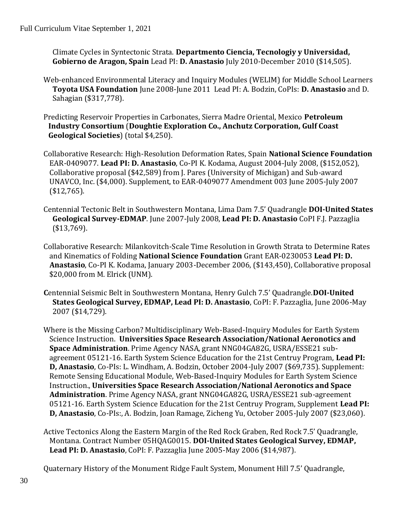Climate Cycles in Syntectonic Strata. **Departmento Ciencia, Tecnologiy y Universidad, Gobierno de Aragon, Spain** Lead PI: **D. Anastasio** July 2010-December 2010 (\$14,505).

- Web-enhanced Environmental Literacy and Inquiry Modules (WELIM) for Middle School Learners **Toyota USA Foundation** June 2008-June 2011 Lead PI: A. Bodzin, CoPIs: **D. Anastasio** and D. Sahagian (\$317,778).
- Predicting Reservoir Properties in Carbonates, Sierra Madre Oriental, Mexico **Petroleum Industry Consortium** (**Doughtie Exploration Co., Anchutz Corporation, Gulf Coast Geological Societies**) (total \$4,250).
- Collaborative Research: High-Resolution Deformation Rates, Spain **National Science Foundation** EAR-0409077. **Lead PI: D. Anastasio**, Co-PI K. Kodama, August 2004-July 2008, (\$152,052), Collaborative proposal (\$42,589) from J. Pares (University of Michigan) and Sub-award UNAVCO, Inc. (\$4,000). Supplement, to EAR-0409077 Amendment 003 June 2005-July 2007 (\$12,765).
- Centennial Tectonic Belt in Southwestern Montana, Lima Dam 7.5' Quadrangle **DOI-United States Geological Survey-EDMAP**. June 2007-July 2008, **Lead PI: D. Anastasio** CoPI F.J. Pazzaglia (\$13,769).
- Collaborative Research: Milankovitch-Scale Time Resolution in Growth Strata to Determine Rates and Kinematics of Folding **National Science Foundation** Grant EAR-0230053 **Lead PI: D. Anastasio**, Co-PI K. Kodama, January 2003-December 2006, (\$143,450), Collaborative proposal \$20,000 from M. Elrick (UNM).
- **C**entennial Seismic Belt in Southwestern Montana, Henry Gulch 7.5' Quadrangle.**DOI-United States Geological Survey, EDMAP, Lead PI: D. Anastasio**, CoPI: F. Pazzaglia, June 2006-May 2007 (\$14,729).
- Where is the Missing Carbon? Multidisciplinary Web-Based-Inquiry Modules for Earth System Science Instruction. **Universities Space Research Association/National Aeronotics and Space Administration**. Prime Agency NASA, grant NNG04GA82G, USRA/ESSE21 subagreement 05121-16. Earth System Science Education for the 21st Centruy Program, **Lead PI: D, Anastasio**, Co-PIs: L. Windham, A. Bodzin, October 2004-July 2007 (\$69,735). Supplement: Remote Sensing Educational Module, Web-Based-Inquiry Modules for Earth System Science Instruction., **Universities Space Research Association/National Aeronotics and Space Administration**. Prime Agency NASA, grant NNG04GA82G, USRA/ESSE21 sub-agreement 05121-16. Earth System Science Education for the 21st Centruy Program, Supplement **Lead PI: D, Anastasio**, Co-PIs:, A. Bodzin, Joan Ramage, Zicheng Yu, October 2005-July 2007 (\$23,060).
- Active Tectonics Along the Eastern Margin of the Red Rock Graben, Red Rock 7.5' Quadrangle, Montana. Contract Number 05HQAG0015. **DOI-United States Geological Survey, EDMAP, Lead PI: D. Anastasio**, CoPI: F. Pazzaglia June 2005-May 2006 (\$14,987).

Quaternary History of the Monument Ridge Fault System, Monument Hill 7.5' Quadrangle,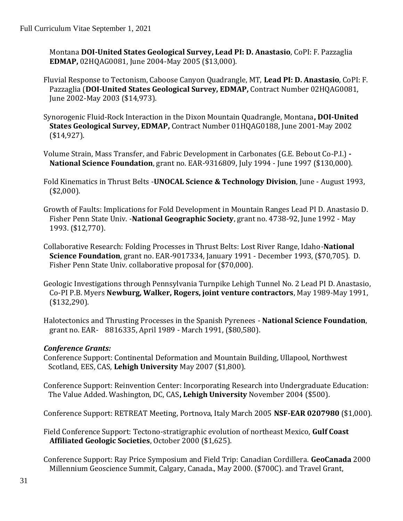Montana **DOI-United States Geological Survey, Lead PI: D. Anastasio**, CoPI: F. Pazzaglia **EDMAP,** 02HQAG0081, June 2004-May 2005 (\$13,000).

- Fluvial Response to Tectonism, Caboose Canyon Quadrangle, MT, **Lead PI: D. Anastasio**, CoPI: F. Pazzaglia (**DOI-United States Geological Survey, EDMAP,** Contract Number 02HQAG0081, June 2002-May 2003 (\$14,973).
- Synorogenic Fluid-Rock Interaction in the Dixon Mountain Quadrangle, Montana**, DOI-United States Geological Survey, EDMAP,** Contract Number 01HQAG0188, June 2001-May 2002 (\$14,927).
- Volume Strain, Mass Transfer, and Fabric Development in Carbonates (G.E. Bebout Co-P.I.) **- National Science Foundation**, grant no. EAR-9316809, July 1994 - June 1997 (\$130,000).
- Fold Kinematics in Thrust Belts -**UNOCAL Science & Technology Division**, June August 1993, (\$2,000).
- Growth of Faults: Implications for Fold Development in Mountain Ranges Lead PI D. Anastasio D. Fisher Penn State Univ. -**National Geographic Society**, grant no. 4738-92, June 1992 - May 1993. (\$12,770).
- Collaborative Research: Folding Processes in Thrust Belts: Lost River Range, Idaho-**National Science Foundation**, grant no. EAR-9017334, January 1991 - December 1993, (\$70,705). D. Fisher Penn State Univ. collaborative proposal for (\$70,000).
- Geologic Investigations through Pennsylvania Turnpike Lehigh Tunnel No. 2 Lead PI D. Anastasio, Co-PI P.B. Myers **Newburg, Walker, Rogers, joint venture contractors**, May 1989-May 1991, (\$132,290).
- Halotectonics and Thrusting Processes in the Spanish Pyrenees **National Science Foundation**, grant no. EAR- 8816335, April 1989 - March 1991, (\$80,580).

### *Conference Grants:*

Conference Support: Continental Deformation and Mountain Building, Ullapool, Northwest Scotland, EES, CAS, **Lehigh University** May 2007 (\$1,800).

Conference Support: Reinvention Center: Incorporating Research into Undergraduate Education: The Value Added. Washington, DC, CAS**, Lehigh University** November 2004 (\$500).

Conference Support: RETREAT Meeting, Portnova, Italy March 2005 **NSF-EAR 0207980** (\$1,000).

Field Conference Support: Tectono-stratigraphic evolution of northeast Mexico, **Gulf Coast Affiliated Geologic Societies**, October 2000 (\$1,625).

Conference Support: Ray Price Symposium and Field Trip: Canadian Cordillera. **GeoCanada** 2000 Millennium Geoscience Summit, Calgary, Canada., May 2000. (\$700C). and Travel Grant,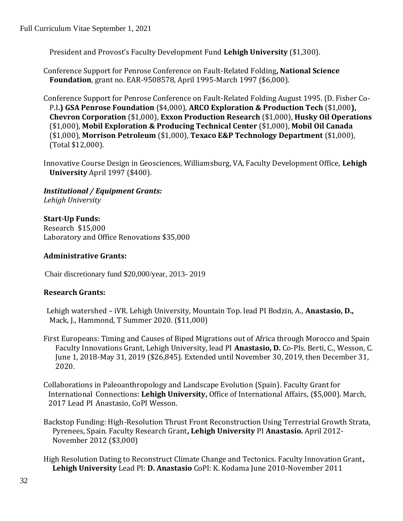President and Provost's Faculty Development Fund **Lehigh University** (\$1,300).

Conference Support for Penrose Conference on Fault-Related Folding**, National Science Foundation**, grant no. EAR-9508578, April 1995-March 1997 (\$6,000).

Conference Support for Penrose Conference on Fault-Related Folding August 1995. (D. Fisher Co-P.I**.) GSA Penrose Foundation** (\$4,000), **ARCO Exploration & Production Tech** (\$1,000**), Chevron Corporation** (\$1,000), **Exxon Production Research** (\$1,000), **Husky Oil Operations** (\$1,000), **Mobil Exploration & Producing Technical Center** (\$1,000), **Mobil Oil Canada** (\$1,000), **Morrison Petroleum** (\$1,000), **Texaco E&P Technology Department** (\$1,000), (Total \$12,000).

Innovative Course Design in Geosciences, Williamsburg, VA, Faculty Development Office, **Lehigh University** April 1997 (\$400).

*Institutional / Equipment Grants: Lehigh University*

#### **Start-Up Funds:**

Research \$15,000 Laboratory and Office Renovations \$35,000

#### **Administrative Grants:**

Chair discretionary fund \$20,000/year, 2013- 2019

#### **Research Grants:**

- Lehigh watershed iVR. Lehigh University, Mountain Top. lead PI Bodzin, A., **Anastasio, D.,** Mack, J., Hammond, T Summer 2020. (\$11,000)
- First Europeans: Timing and Causes of Biped Migrations out of Africa through Morocco and Spain Faculty Innovations Grant, Lehigh University, lead PI **Anastasio, D.** Co-PIs. Berti, C., Wesson, C. June 1, 2018-May 31, 2019 (\$26,845). Extended until November 30, 2019, then December 31, 2020.
- Collaborations in Paleoanthropology and Landscape Evolution (Spain). Faculty Grant for International Connections: **Lehigh University,** Office of International Affairs, (\$5,000). March, 2017 Lead PI Anastasio, CoPI Wesson.
- Backstop Funding: High-Resolution Thrust Front Reconstruction Using Terrestrial Growth Strata, Pyrenees, Spain. Faculty Research Grant**, Lehigh University** PI **Anastasio.** April 2012- November 2012 (\$3,000)
- High Resolution Dating to Reconstruct Climate Change and Tectonics. Faculty Innovation Grant**, Lehigh University** Lead PI: **D. Anastasio** CoPI: K. Kodama June 2010-November 2011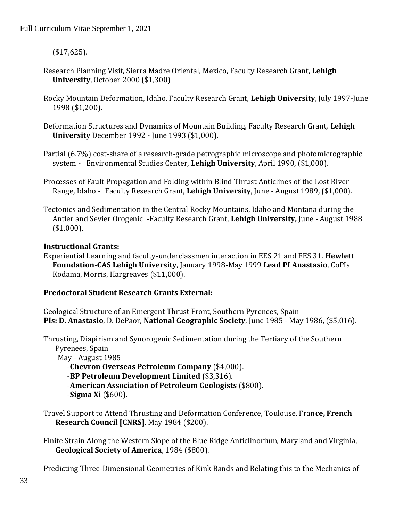(\$17,625).

- Research Planning Visit, Sierra Madre Oriental, Mexico, Faculty Research Grant, **Lehigh University**, October 2000 (\$1,300)
- Rocky Mountain Deformation, Idaho, Faculty Research Grant, **Lehigh University**, July 1997-June 1998 (\$1,200).
- Deformation Structures and Dynamics of Mountain Building, Faculty Research Grant, **Lehigh University** December 1992 - June 1993 (\$1,000).
- Partial (6.7%) cost-share of a research-grade petrographic microscope and photomicrographic system - Environmental Studies Center, **Lehigh University**, April 1990, (\$1,000).
- Processes of Fault Propagation and Folding within Blind Thrust Anticlines of the Lost River Range, Idaho - Faculty Research Grant, **Lehigh University**, June - August 1989, (\$1,000).
- Tectonics and Sedimentation in the Central Rocky Mountains, Idaho and Montana during the Antler and Sevier Orogenic -Faculty Research Grant, **Lehigh University,** June - August 1988 (\$1,000).

#### **Instructional Grants:**

Experiential Learning and faculty-underclassmen interaction in EES 21 and EES 31. **Hewlett Foundation-CAS Lehigh University**, January 1998-May 1999 **Lead PI Anastasio**, CoPIs Kodama, Morris, Hargreaves (\$11,000).

#### **Predoctoral Student Research Grants External:**

Geological Structure of an Emergent Thrust Front, Southern Pyrenees, Spain **PIs: D. Anastasio**, D. DePaor, **National Geographic Society**, June 1985 - May 1986, (\$5,016).

Thrusting, Diapirism and Synorogenic Sedimentation during the Tertiary of the Southern Pyrenees, Spain May - August 1985

-**Chevron Overseas Petroleum Company** (\$4,000). -**BP Petroleum Development Limited** (\$3,316). -**American Association of Petroleum Geologists** (\$800). -**Sigma Xi** (\$600).

Travel Support to Attend Thrusting and Deformation Conference, Toulouse, Fran**ce, French Research Council [CNRS]**, May 1984 (\$200).

Finite Strain Along the Western Slope of the Blue Ridge Anticlinorium, Maryland and Virginia, **Geological Society of America**, 1984 (\$800).

Predicting Three-Dimensional Geometries of Kink Bands and Relating this to the Mechanics of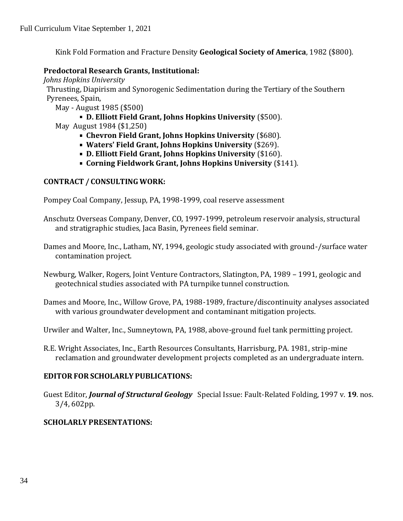Kink Fold Formation and Fracture Density **Geological Society of America**, 1982 (\$800).

#### **Predoctoral Research Grants, Institutional:**

*Johns Hopkins University*

Thrusting, Diapirism and Synorogenic Sedimentation during the Tertiary of the Southern Pyrenees, Spain,

- May August 1985 (\$500)
	- **D. Elliott Field Grant, Johns Hopkins University** (\$500).
- May August 1984 (\$1,250)
	- **Chevron Field Grant, Johns Hopkins University** (\$680).
	- **Waters' Field Grant, Johns Hopkins University** (\$269).
	- **D. Elliott Field Grant, Johns Hopkins University** (\$160).
	- **Corning Fieldwork Grant, Johns Hopkins University** (\$141).

### **CONTRACT / CONSULTING WORK:**

Pompey Coal Company, Jessup, PA, 1998-1999, coal reserve assessment

- Anschutz Overseas Company, Denver, CO, 1997-1999, petroleum reservoir analysis, structural and stratigraphic studies, Jaca Basin, Pyrenees field seminar.
- Dames and Moore, Inc., Latham, NY, 1994, geologic study associated with ground-/surface water contamination project.
- Newburg, Walker, Rogers, Joint Venture Contractors, Slatington, PA, 1989 1991, geologic and geotechnical studies associated with PA turnpike tunnel construction.
- Dames and Moore, Inc., Willow Grove, PA, 1988-1989, fracture/discontinuity analyses associated with various groundwater development and contaminant mitigation projects.
- Urwiler and Walter, Inc., Sumneytown, PA, 1988, above-ground fuel tank permitting project.
- R.E. Wright Associates, Inc., Earth Resources Consultants, Harrisburg, PA. 1981, strip-mine reclamation and groundwater development projects completed as an undergraduate intern.

### **EDITOR FOR SCHOLARLY PUBLICATIONS:**

Guest Editor, *Journal of Structural Geology* Special Issue: Fault-Related Folding, 1997 v. **19**. nos. 3/4, 602pp.

### **SCHOLARLY PRESENTATIONS:**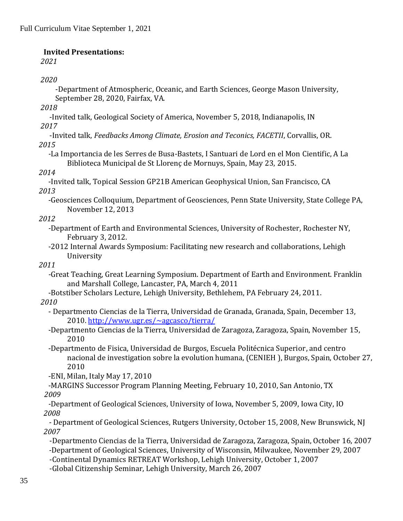#### **Invited Presentations:**

*2021*

#### *2020*

-Department of Atmospheric, Oceanic, and Earth Sciences, George Mason University, September 28, 2020, Fairfax, VA*.*

*2018*

-Invited talk, Geological Society of America, November 5, 2018, Indianapolis, IN *2017*

-Invited talk, *Feedbacks Among Climate, Erosion and Teconics, FACETII*, Corvallis, OR. *2015*

*-*La Importancia de les Serres de Busa-Bastets, I Santuari de Lord en el Mon Cientific, A La Biblioteca Municipal de St Llorenç de Mornuys, Spain, May 23, 2015.

#### *2014*

-Invited talk, Topical Session GP21B American Geophysical Union, San Francisco, CA *2013* 

-Geosciences Colloquium, Department of Geosciences, Penn State University, State College PA, November 12, 2013

#### *2012*

- *-*Department of Earth and Environmental Sciences, University of Rochester, Rochester NY, February 3, 2012.
- -2012 Internal Awards Symposium: Facilitating new research and collaborations, Lehigh University

### *2011*

- *-*Great Teaching, Great Learning Symposium. Department of Earth and Environment. Franklin and Marshall College, Lancaster, PA, March 4, 2011
- -Botstiber Scholars Lecture, Lehigh University, Bethlehem, PA February 24, 2011.

#### *2010*

- Departmento Ciencias de la Tierra, Universidad de Granada, Granada, Spain, December 13, 2010.<http://www.ugr.es/~agcasco/tierra/>
- -Departmento Ciencias de la Tierra, Universidad de Zaragoza, Zaragoza, Spain, November 15, 2010
- -Departmento de Fisica, Universidad de Burgos, Escuela Politécnica Superior, and centro nacional de investigation sobre la evolution humana, (CENIEH ), Burgos, Spain, October 27, 2010
- -ENI, Milan, Italy May 17, 2010
- -MARGINS Successor Program Planning Meeting, February 10, 2010, San Antonio, TX  *2009*
- *-*Department of Geological Sciences, University of Iowa, November 5, 2009, Iowa City, IO *2008*
- Department of Geological Sciences, Rutgers University, October 15, 2008, New Brunswick, NJ *2007*
- -Departmento Ciencias de la Tierra, Universidad de Zaragoza, Zaragoza, Spain, October 16, 2007  *-*Department of Geological Sciences, University of Wisconsin, Milwaukee, November 29, 2007
- -Continental Dynamics RETREAT Workshop, Lehigh University, October 1, 2007
- -Global Citizenship Seminar, Lehigh University, March 26, 2007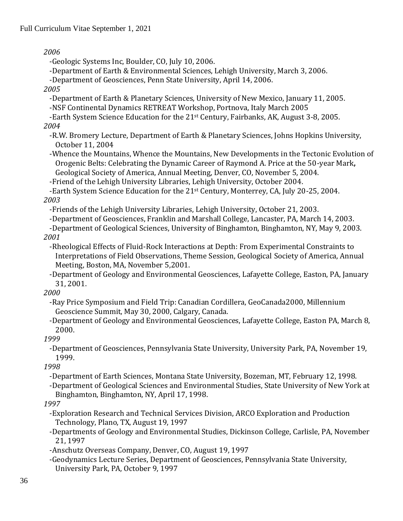*2006*

-Geologic Systems Inc, Boulder, CO, July 10, 2006.

-Department of Earth & Environmental Sciences, Lehigh University, March 3, 2006.

-Department of Geosciences, Penn State University, April 14, 2006.

*2005*

-Department of Earth & Planetary Sciences, University of New Mexico, January 11, 2005.

-NSF Continental Dynamics RETREAT Workshop, Portnova, Italy March 2005

-Earth System Science Education for the 21st Century, Fairbanks, AK, August 3-8, 2005.

*2004*

-R.W. Bromery Lecture, Department of Earth & Planetary Sciences, Johns Hopkins University, October 11, 2004

-Whence the Mountains, Whence the Mountains, New Developments in the Tectonic Evolution of Orogenic Belts: Celebrating the Dynamic Career of Raymond A. Price at the 50-year Mark**,**  Geological Society of America, Annual Meeting, Denver, CO, November 5, 2004.

-Friend of the Lehigh University Libraries, Lehigh University, October 2004.

-Earth System Science Education for the 21st Century, Monterrey, CA, July 20-25, 2004.

*2003*

-Friends of the Lehigh University Libraries, Lehigh University, October 21, 2003.

-Department of Geosciences, Franklin and Marshall College, Lancaster, PA, March 14, 2003.

-Department of Geological Sciences, University of Binghamton, Binghamton, NY, May 9, 2003. *2001*

-Rheological Effects of Fluid-Rock Interactions at Depth: From Experimental Constraints to Interpretations of Field Observations, Theme Session, Geological Society of America, Annual Meeting, Boston, MA, November 5,2001.

-Department of Geology and Environmental Geosciences, Lafayette College, Easton, PA, January 31, 2001.

*2000*

-Ray Price Symposium and Field Trip: Canadian Cordillera, GeoCanada2000, Millennium Geoscience Summit, May 30, 2000, Calgary, Canada.

-Department of Geology and Environmental Geosciences, Lafayette College, Easton PA, March 8, 2000.

# *1999*

-Department of Geosciences, Pennsylvania State University, University Park, PA, November 19, 1999.

*1998*

-Department of Earth Sciences, Montana State University, Bozeman, MT, February 12, 1998.

-Department of Geological Sciences and Environmental Studies, State University of New York at Binghamton, Binghamton, NY, April 17, 1998.

# *1997*

-Exploration Research and Technical Services Division, ARCO Exploration and Production Technology, Plano, TX, August 19, 1997

-Departments of Geology and Environmental Studies, Dickinson College, Carlisle, PA, November 21, 1997

-Anschutz Overseas Company, Denver, CO, August 19, 1997

-Geodynamics Lecture Series, Department of Geosciences, Pennsylvania State University, University Park, PA, October 9, 1997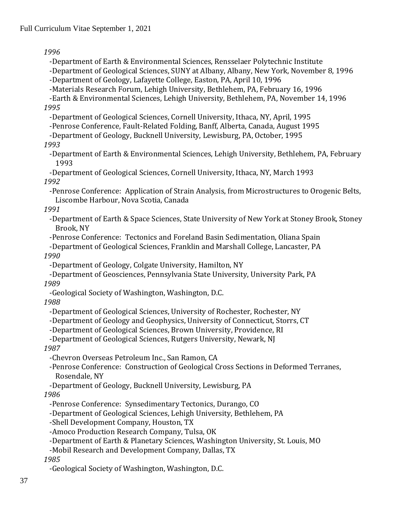*1996*

-Department of Earth & Environmental Sciences, Rensselaer Polytechnic Institute -Department of Geological Sciences, SUNY at Albany, Albany, New York, November 8, 1996 -Department of Geology, Lafayette College, Easton, PA, April 10, 1996

-Materials Research Forum, Lehigh University, Bethlehem, PA, February 16, 1996

-Earth & Environmental Sciences, Lehigh University, Bethlehem, PA, November 14, 1996 *1995*

-Department of Geological Sciences, Cornell University, Ithaca, NY, April, 1995

-Penrose Conference, Fault-Related Folding, Banff, Alberta, Canada, August 1995

-Department of Geology, Bucknell University, Lewisburg, PA, October, 1995

#### *1993*

-Department of Earth & Environmental Sciences, Lehigh University, Bethlehem, PA, February 1993

-Department of Geological Sciences, Cornell University, Ithaca, NY, March 1993 *1992*

-Penrose Conference: Application of Strain Analysis, from Microstructures to Orogenic Belts, Liscombe Harbour, Nova Scotia, Canada

#### *1991*

-Department of Earth & Space Sciences, State University of New York at Stoney Brook, Stoney Brook, NY

-Penrose Conference: Tectonics and Foreland Basin Sedimentation, Oliana Spain

-Department of Geological Sciences, Franklin and Marshall College, Lancaster, PA *1990*

-Department of Geology, Colgate University, Hamilton, NY

-Department of Geosciences, Pennsylvania State University, University Park, PA *1989*

-Geological Society of Washington, Washington, D.C.

*1988*

-Department of Geological Sciences, University of Rochester, Rochester, NY

-Department of Geology and Geophysics, University of Connecticut, Storrs, CT

-Department of Geological Sciences, Brown University, Providence, RI

-Department of Geological Sciences, Rutgers University, Newark, NJ *1987*

-Chevron Overseas Petroleum Inc., San Ramon, CA

-Penrose Conference: Construction of Geological Cross Sections in Deformed Terranes, Rosendale, NY

-Department of Geology, Bucknell University, Lewisburg, PA

### *1986*

-Penrose Conference: Synsedimentary Tectonics, Durango, CO

-Department of Geological Sciences, Lehigh University, Bethlehem, PA

-Shell Development Company, Houston, TX

-Amoco Production Research Company, Tulsa, OK

-Department of Earth & Planetary Sciences, Washington University, St. Louis, MO

-Mobil Research and Development Company, Dallas, TX

*1985*

-Geological Society of Washington, Washington, D.C.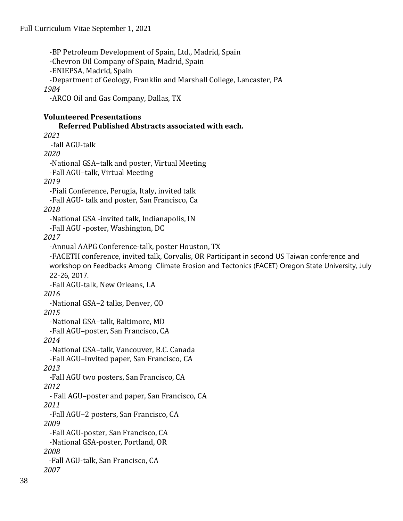-BP Petroleum Development of Spain, Ltd., Madrid, Spain -Chevron Oil Company of Spain, Madrid, Spain -ENIEPSA, Madrid, Spain -Department of Geology, Franklin and Marshall College, Lancaster, PA *1984* -ARCO Oil and Gas Company, Dallas, TX **Volunteered Presentations Referred Published Abstracts associated with each.** *2021* -fall AGU-talk *2020 -*National GSA–talk and poster, Virtual Meeting -Fall AGU–talk, Virtual Meeting *2019* -Piali Conference, Perugia, Italy, invited talk -Fall AGU- talk and poster, San Francisco, Ca *2018* -National GSA -invited talk, Indianapolis, IN -Fall AGU -poster, Washington, DC *2017* -Annual AAPG Conference-talk, poster Houston, TX -FACETII conference, invited talk, Corvalis, OR Participant in second US Taiwan conference and workshop on Feedbacks Among Climate Erosion and Tectonics (FACET) Oregon State University, July 22-26, 2017. -Fall AGU-talk, New Orleans, LA *2016* -National GSA–2 talks, Denver, CO *2015* -National GSA–talk, Baltimore, MD -Fall AGU–poster, San Francisco, CA *2014* -National GSA–talk, Vancouver, B.C. Canada -Fall AGU–invited paper, San Francisco, CA *2013 -*Fall AGU two posters, San Francisco, CA *2012 -* Fall AGU–poster and paper, San Francisco, CA *2011* -Fall AGU–2 posters, San Francisco, CA *2009* -Fall AGU-poster, San Francisco, CA -National GSA-poster, Portland, OR *2008* -Fall AGU-talk, San Francisco, CA *2007*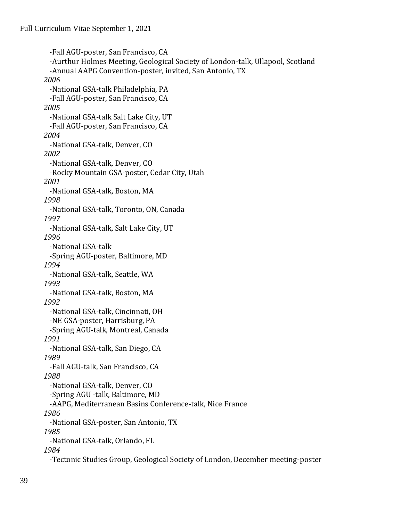-Fall AGU-poster, San Francisco, CA -Aurthur Holmes Meeting, Geological Society of London-talk, Ullapool, Scotland -Annual AAPG Convention-poster, invited, San Antonio, TX *2006* -National GSA-talk Philadelphia, PA -Fall AGU-poster, San Francisco, CA *2005*  -National GSA-talk Salt Lake City, UT -Fall AGU-poster, San Francisco, CA *2004*  -National GSA-talk, Denver, CO *2002*  -National GSA-talk, Denver, CO -Rocky Mountain GSA-poster, Cedar City, Utah *2001*  -National GSA-talk, Boston, MA *1998*  -National GSA-talk, Toronto, ON, Canada *1997*  -National GSA-talk, Salt Lake City, UT *1996*  -National GSA-talk -Spring AGU-poster, Baltimore, MD *1994*  -National GSA-talk, Seattle, WA *1993*  -National GSA-talk, Boston, MA *1992*  -National GSA-talk, Cincinnati, OH -NE GSA-poster, Harrisburg, PA -Spring AGU-talk, Montreal, Canada *1991*  -National GSA-talk, San Diego, CA *1989*  -Fall AGU-talk, San Francisco, CA *1988*  -National GSA-talk, Denver, CO -Spring AGU -talk, Baltimore, MD -AAPG, Mediterranean Basins Conference-talk, Nice France *1986*  -National GSA-poster, San Antonio, TX *1985*  -National GSA-talk, Orlando, FL *1984* 

-Tectonic Studies Group, Geological Society of London, December meeting-poster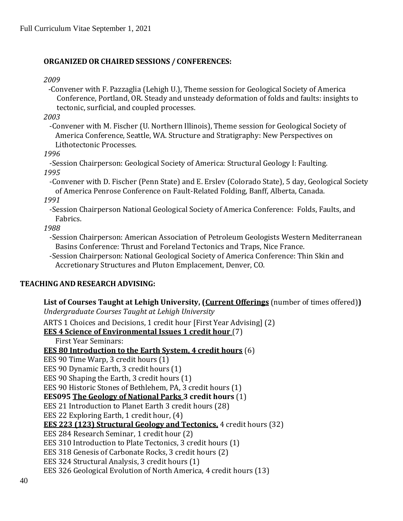### **ORGANIZED OR CHAIRED SESSIONS / CONFERENCES:**

#### *2009*

-Convener with F. Pazzaglia (Lehigh U.), Theme session for Geological Society of America Conference, Portland, OR. Steady and unsteady deformation of folds and faults: insights to tectonic, surficial, and coupled processes.

*2003*

-Convener with M. Fischer (U. Northern Illinois), Theme session for Geological Society of America Conference, Seattle, WA. Structure and Stratigraphy: New Perspectives on Lithotectonic Processes.

*1996*

-Session Chairperson: Geological Society of America: Structural Geology I: Faulting. *1995*

-Convener with D. Fischer (Penn State) and E. Erslev (Colorado State), 5 day, Geological Society of America Penrose Conference on Fault-Related Folding, Banff, Alberta, Canada.

*1991*

-Session Chairperson National Geological Society of America Conference: Folds, Faults, and Fabrics.

*1988*

-Session Chairperson: American Association of Petroleum Geologists Western Mediterranean Basins Conference: Thrust and Foreland Tectonics and Traps, Nice France.

-Session Chairperson: National Geological Society of America Conference: Thin Skin and Accretionary Structures and Pluton Emplacement, Denver, CO.

### **TEACHING AND RESEARCH ADVISING:**

**List of Courses Taught at Lehigh University, (Current Offerings** (number of times offered)**)** *Undergraduate Courses Taught at Lehigh University* ARTS 1 Choices and Decisions, 1 credit hour [First Year Advising] (2) **EES 4 Science of Environmental Issues 1 credit hour** (7) First Year Seminars: **EES 80 Introduction to the Earth System, 4 credit hours** (6) EES 90 Time Warp, 3 credit hours (1) EES 90 Dynamic Earth, 3 credit hours (1) EES 90 Shaping the Earth, 3 credit hours (1) EES 90 Historic Stones of Bethlehem, PA, 3 credit hours (1) **EES095 The Geology of National Parks 3 credit hours** (1) EES 21 Introduction to Planet Earth 3 credit hours (28) EES 22 Exploring Earth, 1 credit hour, (4) **EES 223 (123) Structural Geology and Tectonics,** 4 credit hours (32) EES 284 Research Seminar, 1 credit hour (2) EES 310 Introduction to Plate Tectonics, 3 credit hours (1) EES 318 Genesis of Carbonate Rocks, 3 credit hours (2) EES 324 Structural Analysis, 3 credit hours (1) EES 326 Geological Evolution of North America, 4 credit hours (13)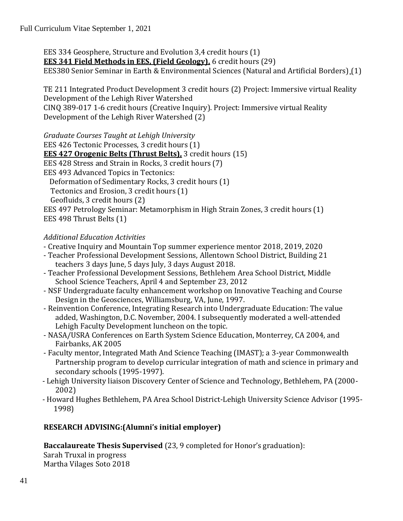EES 334 Geosphere, Structure and Evolution 3,4 credit hours (1) **EES 341 Field Methods in EES, (Field Geology),** 6 credit hours (29) EES380 Senior Seminar in Earth & Environmental Sciences (Natural and Artificial Borders) (1)

TE 211 Integrated Product Development 3 credit hours (2) Project: Immersive virtual Reality Development of the Lehigh River Watershed CINQ 389-017 1-6 credit hours (Creative Inquiry). Project: Immersive virtual Reality Development of the Lehigh River Watershed (2)

*Graduate Courses Taught at Lehigh University* EES 426 Tectonic Processes, 3 credit hours (1) **EES 427 Orogenic Belts (Thrust Belts),** 3 credit hours (15) EES 428 Stress and Strain in Rocks, 3 credit hours (7) EES 493 Advanced Topics in Tectonics: Deformation of Sedimentary Rocks, 3 credit hours (1) Tectonics and Erosion, 3 credit hours (1) Geofluids, 3 credit hours (2) EES 497 Petrology Seminar: Metamorphism in High Strain Zones, 3 credit hours (1) EES 498 Thrust Belts (1)

# *Additional Education Activities*

- Creative Inquiry and Mountain Top summer experience mentor 2018, 2019, 2020
- Teacher Professional Development Sessions, Allentown School District, Building 21 teachers 3 days June, 5 days July, 3 days August 2018.
- Teacher Professional Development Sessions, Bethlehem Area School District, Middle School Science Teachers, April 4 and September 23, 2012
- NSF Undergraduate faculty enhancement workshop on Innovative Teaching and Course Design in the Geosciences, Williamsburg, VA, June, 1997.
- Reinvention Conference, Integrating Research into Undergraduate Education: The value added, Washington, D.C. November, 2004. I subsequently moderated a well-attended Lehigh Faculty Development luncheon on the topic.
- NASA/USRA Conferences on Earth System Science Education, Monterrey, CA 2004, and Fairbanks, AK 2005
- Faculty mentor, Integrated Math And Science Teaching (IMAST); a 3-year Commonwealth Partnership program to develop curricular integration of math and science in primary and secondary schools (1995-1997).
- Lehigh University liaison Discovery Center of Science and Technology, Bethlehem, PA (2000- 2002)
- Howard Hughes Bethlehem, PA Area School District-Lehigh University Science Advisor (1995- 1998)

# **RESEARCH ADVISING:(Alumni's initial employer)**

**Baccalaureate Thesis Supervised** (23, 9 completed for Honor's graduation):

Sarah Truxal in progress Martha Vilages Soto 2018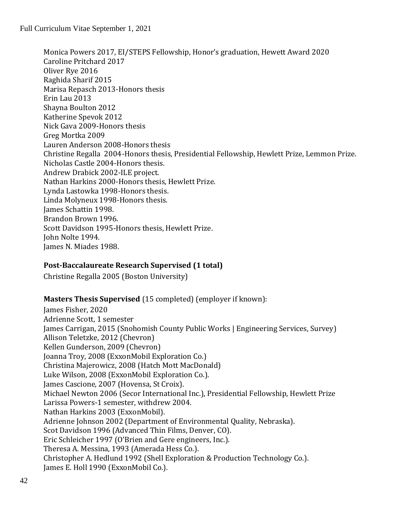Monica Powers 2017, EI/STEPS Fellowship, Honor's graduation, Hewett Award 2020 Caroline Pritchard 2017 Oliver Rye 2016 Raghida Sharif 2015 Marisa Repasch 2013-Honors thesis Erin Lau 2013 Shayna Boulton 2012 Katherine Spevok 2012 Nick Gava 2009-Honors thesis Greg Mortka 2009 Lauren Anderson 2008-Honors thesis Christine Regalla 2004-Honors thesis, Presidential Fellowship, Hewlett Prize, Lemmon Prize. Nicholas Castle 2004-Honors thesis. Andrew Drabick 2002-ILE project. Nathan Harkins 2000-Honors thesis, Hewlett Prize. Lynda Lastowka 1998-Honors thesis. Linda Molyneux 1998-Honors thesis. James Schattin 1998. Brandon Brown 1996. Scott Davidson 1995-Honors thesis, Hewlett Prize. John Nolte 1994. James N. Miades 1988.

### **Post-Baccalaureate Research Supervised (1 total)**

Christine Regalla 2005 (Boston University)

### **Masters Thesis Supervised** (15 completed) (employer if known):

James Fisher, 2020 Adrienne Scott, 1 semester James Carrigan, 2015 (Snohomish County Public Works | Engineering Services, Survey) Allison Teletzke, 2012 (Chevron) Kellen Gunderson, 2009 (Chevron) Joanna Troy, 2008 (ExxonMobil Exploration Co.) Christina Majerowicz, 2008 (Hatch Mott MacDonald) Luke Wilson, 2008 (ExxonMobil Exploration Co.). James Cascione, 2007 (Hovensa, St Croix). Michael Newton 2006 (Secor International Inc.), Presidential Fellowship, Hewlett Prize Larissa Powers-1 semester, withdrew 2004. Nathan Harkins 2003 (ExxonMobil). Adrienne Johnson 2002 (Department of Environmental Quality, Nebraska). Scot Davidson 1996 (Advanced Thin Films, Denver, CO). Eric Schleicher 1997 (O'Brien and Gere engineers, Inc.). Theresa A. Messina, 1993 (Amerada Hess Co.). Christopher A. Hedlund 1992 (Shell Exploration & Production Technology Co.). James E. Holl 1990 (ExxonMobil Co.).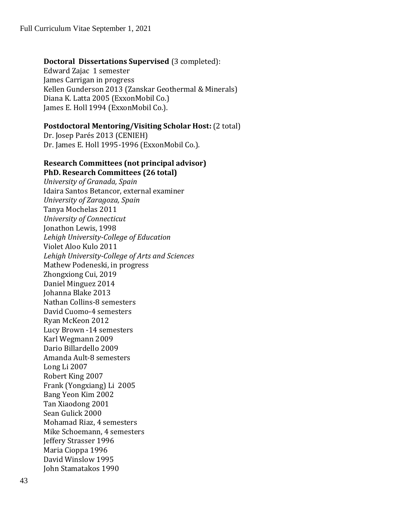#### **Doctoral Dissertations Supervised** (3 completed):

Edward Zajac 1 semester James Carrigan in progress Kellen Gunderson 2013 (Zanskar Geothermal & Minerals) Diana K. Latta 2005 (ExxonMobil Co.) James E. Holl 1994 (ExxonMobil Co.).

#### **Postdoctoral Mentoring/Visiting Scholar Host:** (2 total)

Dr. Josep Parés 2013 (CENIEH) Dr. James E. Holl 1995-1996 (ExxonMobil Co.).

#### **Research Committees (not principal advisor) PhD. Research Committees (26 total)**

*University of Granada, Spain* Idaira Santos Betancor, external examiner *University of Zaragoza, Spain* Tanya Mochelas 2011 *University of Connecticut*  Jonathon Lewis, 1998 *Lehigh University-College of Education* Violet Aloo Kulo 2011 *Lehigh University-College of Arts and Sciences* Mathew Podeneski, in progress Zhongxiong Cui, 2019 Daniel Minguez 2014 Johanna Blake 2013 Nathan Collins-8 semesters David Cuomo-4 semesters Ryan McKeon 2012 Lucy Brown -14 semesters Karl Wegmann 2009 Dario Billardello 2009 Amanda Ault-8 semesters Long Li 2007 Robert King 2007 Frank (Yongxiang) Li 2005 Bang Yeon Kim 2002 Tan Xiaodong 2001 Sean Gulick 2000 Mohamad Riaz, 4 semesters Mike Schoemann, 4 semesters Jeffery Strasser 1996 Maria Cioppa 1996 David Winslow 1995 John Stamatakos 1990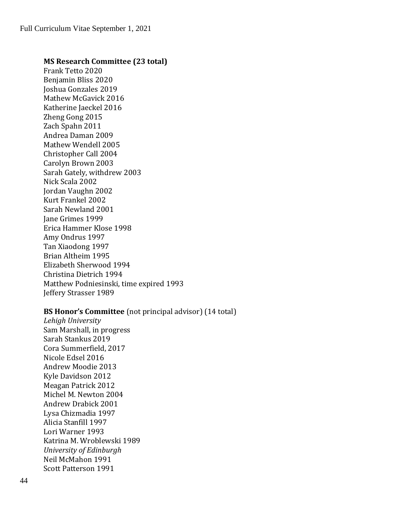#### **MS Research Committee (23 total)**

Frank Tetto 2020 Benjamin Bliss 2020 Joshua Gonzales 2019 Mathew McGavick 2016 Katherine Jaeckel 2016 Zheng Gong 2015 Zach Spahn 2011 Andrea Daman 2009 Mathew Wendell 2005 Christopher Call 2004 Carolyn Brown 2003 Sarah Gately, withdrew 2003 Nick Scala 2002 Jordan Vaughn 2002 Kurt Frankel 2002 Sarah Newland 2001 Jane Grimes 1999 Erica Hammer Klose 1998 Amy Ondrus 1997 Tan Xiaodong 1997 Brian Altheim 1995 Elizabeth Sherwood 1994 Christina Dietrich 1994 Matthew Podniesinski, time expired 1993 Jeffery Strasser 1989

#### **BS Honor's Committee** (not principal advisor) (14 total)

*Lehigh University* Sam Marshall, in progress Sarah Stankus 2019 Cora Summerfield, 2017 Nicole Edsel 2016 Andrew Moodie 2013 Kyle Davidson 2012 Meagan Patrick 2012 Michel M. Newton 2004 Andrew Drabick 2001 Lysa Chizmadia 1997 Alicia Stanfill 1997 Lori Warner 1993 Katrina M. Wroblewski 1989 *University of Edinburgh*  Neil McMahon 1991 Scott Patterson 1991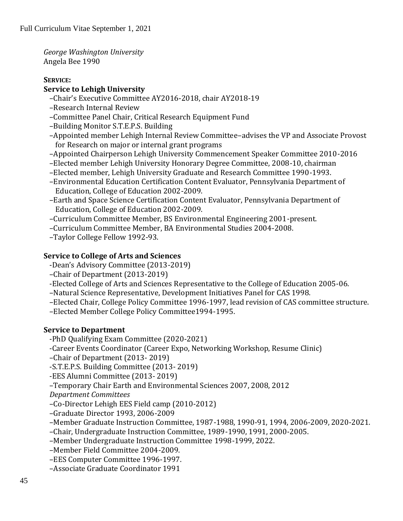*George Washington University*  Angela Bee 1990

### **SERVICE:**

# **Service to Lehigh University**

- –Chair's Executive Committee AY2016-2018, chair AY2018-19
- –Research Internal Review
- –Committee Panel Chair, Critical Research Equipment Fund
- –Building Monitor S.T.E.P.S. Building
- –Appointed member Lehigh Internal Review Committee–advises the VP and Associate Provost for Research on major or internal grant programs
- –Appointed Chairperson Lehigh University Commencement Speaker Committee 2010-2016
- –Elected member Lehigh University Honorary Degree Committee, 2008-10, chairman
- –Elected member, Lehigh University Graduate and Research Committee 1990-1993.
- –Environmental Education Certification Content Evaluator, Pennsylvania Department of Education, College of Education 2002-2009.
- –Earth and Space Science Certification Content Evaluator, Pennsylvania Department of Education, College of Education 2002-2009.
- –Curriculum Committee Member, BS Environmental Engineering 2001-present.
- –Curriculum Committee Member, BA Environmental Studies 2004-2008.

–Taylor College Fellow 1992-93.

# **Service to College of Arts and Sciences**

- -Dean's Advisory Committee (2013-2019)
- –Chair of Department (2013-2019)
- -Elected College of Arts and Sciences Representative to the College of Education 2005-06.
- –Natural Science Representative, Development Initiatives Panel for CAS 1998.
- –Elected Chair, College Policy Committee 1996-1997, lead revision of CAS committee structure.
- –Elected Member College Policy Committee1994-1995.

# **Service to Department**

- -PhD Qualifying Exam Committee (2020-2021)
- -Career Events Coordinator (Career Expo, Networking Workshop, Resume Clinic)
- –Chair of Department (2013- 2019)
- -S.T.E.P.S. Building Committee (2013- 2019)
- -EES Alumni Committee (2013- 2019)
- –Temporary Chair Earth and Environmental Sciences 2007, 2008, 2012

*Department Committees*

- –Co-Director Lehigh EES Field camp (2010-2012)
- –Graduate Director 1993, 2006-2009
- –Member Graduate Instruction Committee, 1987-1988, 1990-91, 1994, 2006-2009, 2020-2021.
- –Chair, Undergraduate Instruction Committee, 1989-1990, 1991, 2000-2005.
- –Member Undergraduate Instruction Committee 1998-1999, 2022.
- –Member Field Committee 2004-2009.
- –EES Computer Committee 1996-1997.
- –Associate Graduate Coordinator 1991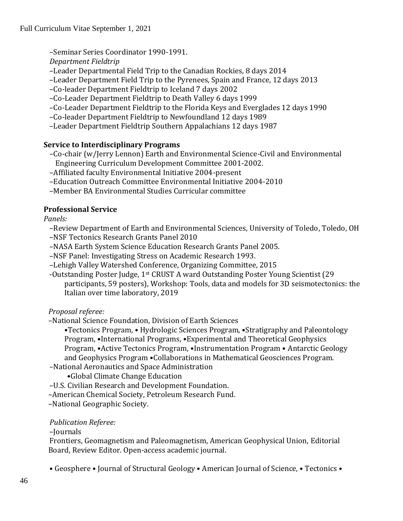–Seminar Series Coordinator 1990-1991.

*Department Fieldtrip*

–Leader Departmental Field Trip to the Canadian Rockies, 8 days 2014

–Leader Department Field Trip to the Pyrenees, Spain and France, 12 days 2013

–Co-leader Department Fieldtrip to Iceland 7 days 2002

–Co-Leader Department Fieldtrip to Death Valley 6 days 1999

–Co-Leader Department Fieldtrip to the Florida Keys and Everglades 12 days 1990

–Co-leader Department Fieldtrip to Newfoundland 12 days 1989

–Leader Department Fieldtrip Southern Appalachians 12 days 1987

# **Service to Interdisciplinary Programs**

–Co-chair (w/Jerry Lennon) Earth and Environmental Science-Civil and Environmental Engineering Curriculum Development Committee 2001-2002.

–Affiliated faculty Environmental Initiative 2004-present

–Education Outreach Committee Environmental Initiative 2004-2010

–Member BA Environmental Studies Curricular committee

# **Professional Service**

*Panels:*

–Review Department of Earth and Environmental Sciences, University of Toledo, Toledo, OH

–NSF Tectonics Research Grants Panel 2010

–NASA Earth System Science Education Research Grants Panel 2005.

–NSF Panel: Investigating Stress on Academic Research 1993.

–Lehigh Valley Watershed Conference, Organizing Committee, 2015

-Outstanding Poster Judge, 1st CRUST A ward Outstanding Poster Young Scientist (29 participants, 59 posters), Workshop: Tools, data and models for 3D seismotectonics: the Italian over time laboratory, 2019

# *Proposal referee:*

–National Science Foundation, Division of Earth Sciences

•Tectonics Program, • Hydrologic Sciences Program, •Stratigraphy and Paleontology Program, •International Programs, •Experimental and Theoretical Geophysics Program, •Active Tectonics Program, •Instrumentation Program • Antarctic Geology and Geophysics Program •Collaborations in Mathematical Geosciences Program.

–National Aeronautics and Space Administration

•Global Climate Change Education

–U.S. Civilian Research and Development Foundation.

–American Chemical Society, Petroleum Research Fund.

–National Geographic Society.

### *Publication Referee:*

–Journals

Frontiers, Geomagnetism and Paleomagnetism, American Geophysical Union, Editorial Board, Review Editor. Open-access academic journal.

• Geosphere • Journal of Structural Geology • American Journal of Science, • Tectonics •